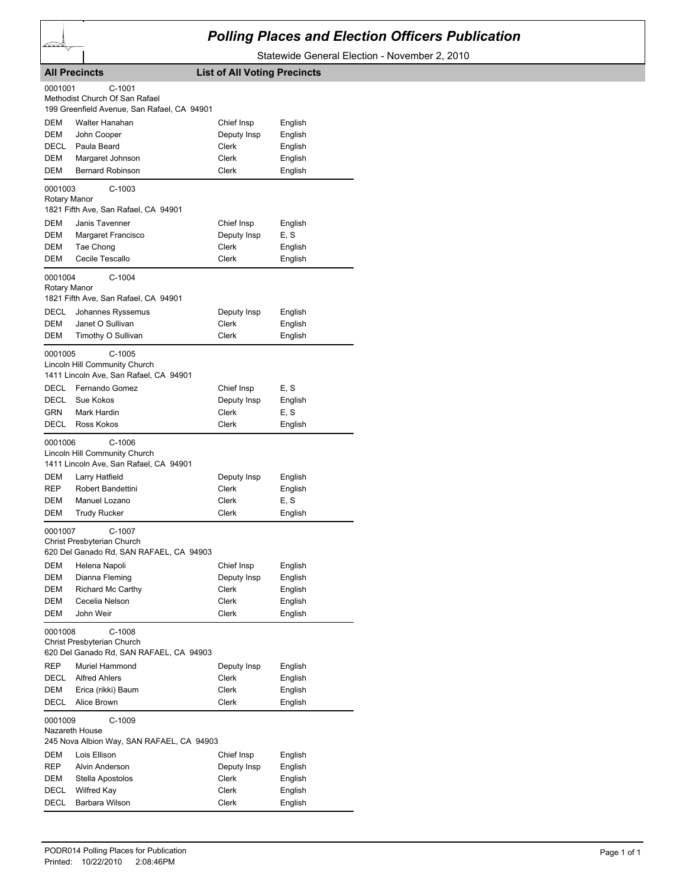## *Polling Places and Election Officers Publication*

Statewide General Election - November 2, 2010

|                           | <b>All Precincts</b>                                                                         | <b>List of All Voting Precincts</b> |                    |
|---------------------------|----------------------------------------------------------------------------------------------|-------------------------------------|--------------------|
| 0001001                   | $C-1001$<br>Methodist Church Of San Rafael<br>199 Greenfield Avenue, San Rafael, CA 94901    |                                     |                    |
|                           |                                                                                              |                                     |                    |
| DEM<br>DEM                | Walter Hanahan                                                                               | Chief Insp                          | English<br>English |
| DECL                      | John Cooper<br>Paula Beard                                                                   | Deputy Insp<br>Clerk                |                    |
| <b>DEM</b>                | Margaret Johnson                                                                             | Clerk                               | English<br>English |
| DEM                       | <b>Bernard Robinson</b>                                                                      | Clerk                               | English            |
|                           |                                                                                              |                                     |                    |
| 0001003<br>Rotary Manor   | $C-1003$<br>1821 Fifth Ave, San Rafael, CA 94901                                             |                                     |                    |
| DEM                       | Janis Tavenner                                                                               | Chief Insp                          | English            |
| DEM                       | Margaret Francisco                                                                           | Deputy Insp                         | E, S               |
| DEM                       | Tae Chong                                                                                    | Clerk                               | English            |
| DEM                       | Cecile Tescallo                                                                              | Clerk                               | English            |
| 0001004<br>Rotary Manor   | $C-1004$<br>1821 Fifth Ave, San Rafael, CA 94901                                             |                                     |                    |
| <b>DECL</b>               | Johannes Ryssemus                                                                            | Deputy Insp                         | English            |
| DEM                       | Janet O Sullivan                                                                             | Clerk                               | English            |
| DEM                       | Timothy O Sullivan                                                                           | Clerk                               | English            |
| 0001005                   | $C-1005$<br>Lincoln Hill Community Church<br>1411 Lincoln Ave, San Rafael, CA 94901          |                                     |                    |
| DECL                      | Fernando Gomez                                                                               | Chief Insp                          | E, S               |
| DECL                      | Sue Kokos                                                                                    | Deputy Insp                         | English            |
| GRN                       | Mark Hardin                                                                                  | Clerk                               | E, S               |
| DECL                      | Ross Kokos                                                                                   | Clerk                               | English            |
| 0001006                   | $C-1006$<br>Lincoln Hill Community Church<br>1411 Lincoln Ave, San Rafael, CA 94901          |                                     |                    |
| DEM                       | Larry Hatfield                                                                               | Deputy Insp                         | English            |
| REP                       | Robert Bandettini                                                                            | Clerk                               | English            |
| DEM                       | Manuel Lozano                                                                                | Clerk                               | E, S               |
| DEM                       | <b>Trudy Rucker</b>                                                                          | Clerk                               | English            |
| 0001007                   | C-1007<br>Christ Presbyterian Church<br>620 Del Ganado Rd, SAN RAFAEL, CA 94903              |                                     |                    |
| DEM                       | Helena Napoli                                                                                | Chief Insp                          | English            |
| DEM                       | Dianna Fleming                                                                               | Deputy Insp                         | English            |
| DEM                       | Richard Mc Carthy                                                                            | Clerk                               | English            |
| DEM                       | Cecelia Nelson                                                                               | Clerk                               | English            |
| DEM<br>0001008            | John Weir<br>C-1008<br>Christ Presbyterian Church<br>620 Del Ganado Rd, SAN RAFAEL, CA 94903 | Clerk                               | English            |
| REP                       | Muriel Hammond                                                                               | Deputy Insp                         | English            |
| DECL                      | <b>Alfred Ahlers</b>                                                                         | <b>Clerk</b>                        | English            |
| DEM                       | Erica (rikki) Baum                                                                           | Clerk                               | English            |
| <b>DECL</b>               | Alice Brown                                                                                  | Clerk                               | English            |
| 0001009<br>Nazareth House | $C-1009$<br>245 Nova Albion Way, SAN RAFAEL, CA 94903                                        |                                     |                    |
| DEM                       | Lois Ellison                                                                                 | Chief Insp                          | English            |
| REP                       | Alvin Anderson                                                                               | Deputy Insp                         | English            |
| DEM                       | Stella Apostolos                                                                             | Clerk                               | English            |
| DECL                      | <b>Wilfred Kay</b>                                                                           | Clerk                               | English            |
| DECL                      | Barbara Wilson                                                                               | Clerk                               | English            |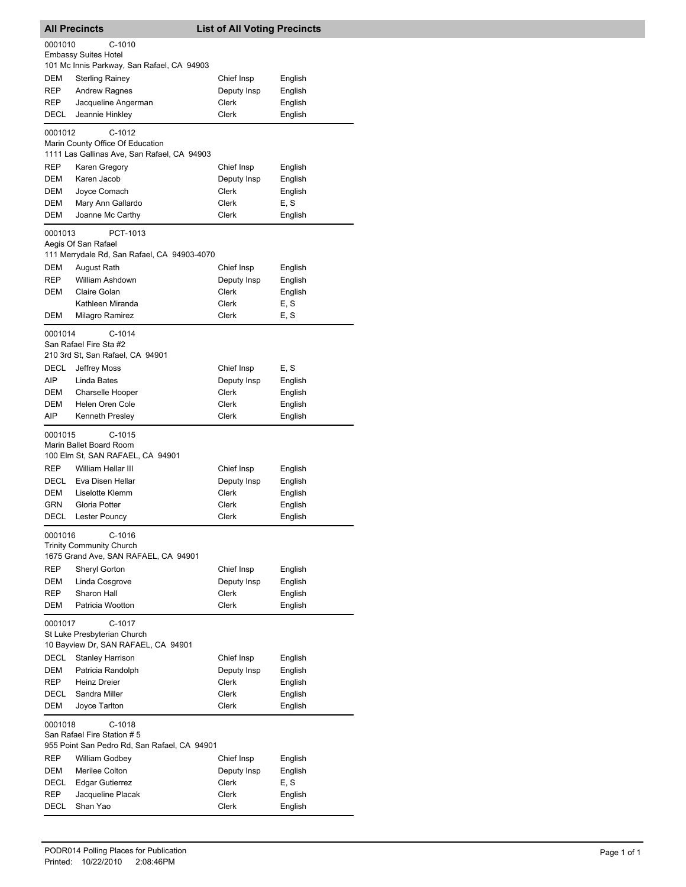|             | <b>All Precincts</b>                                                                      | <b>List of All Voting Precincts</b> |                 |
|-------------|-------------------------------------------------------------------------------------------|-------------------------------------|-----------------|
| 0001010     | $C-1010$<br><b>Embassy Suites Hotel</b><br>101 Mc Innis Parkway, San Rafael, CA 94903     |                                     |                 |
| DEM         | <b>Sterling Rainey</b>                                                                    | Chief Insp                          | English         |
| <b>REP</b>  | <b>Andrew Ragnes</b>                                                                      | Deputy Insp                         | English         |
| REP         | Jacqueline Angerman                                                                       | Clerk                               | English         |
| DECL        | Jeannie Hinkley                                                                           | <b>Clerk</b>                        | English         |
| 0001012     | C-1012<br>Marin County Office Of Education<br>1111 Las Gallinas Ave, San Rafael, CA 94903 |                                     |                 |
| REP         | Karen Gregory                                                                             | Chief Insp                          | English         |
| DEM         | Karen Jacob                                                                               | Deputy Insp                         | English         |
| DEM         | Joyce Comach                                                                              | Clerk                               | English         |
| DEM         | Mary Ann Gallardo                                                                         | Clerk                               | E, S            |
| DEM         | Joanne Mc Carthy                                                                          | Clerk                               | English         |
| 0001013     | PCT-1013<br>Aegis Of San Rafael<br>111 Merrydale Rd, San Rafael, CA 94903-4070            |                                     |                 |
| DEM         | August Rath                                                                               | Chief Insp                          | English         |
| <b>REP</b>  | William Ashdown                                                                           | Deputy Insp                         | English         |
| <b>DEM</b>  | Claire Golan                                                                              | <b>Clerk</b>                        | English         |
|             | Kathleen Miranda                                                                          | Clerk                               | E, S            |
| DEM         | Milagro Ramirez                                                                           | <b>Clerk</b>                        | E, S            |
| 0001014     | C-1014<br>San Rafael Fire Sta #2<br>210 3rd St, San Rafael, CA 94901                      |                                     |                 |
| DECL        | Jeffrey Moss                                                                              | Chief Insp                          | E, S            |
| AIP         | Linda Bates                                                                               | Deputy Insp                         | English         |
| DEM         | Charselle Hooper                                                                          | Clerk                               | English         |
| <b>DEM</b>  | Helen Oren Cole                                                                           | Clerk                               | English         |
| AIP         | Kenneth Presley                                                                           | Clerk                               | English         |
| 0001015     | $C-1015$<br>Marin Ballet Board Room<br>100 Elm St, SAN RAFAEL, CA 94901                   |                                     |                 |
| <b>REP</b>  | William Hellar III                                                                        | Chief Insp                          | English         |
| DECL        | Eva Disen Hellar                                                                          | Deputy Insp                         | English         |
| DEM         | Liselotte Klemm                                                                           | Clerk                               | English         |
| GRN         | Gloria Potter                                                                             | Clerk                               | English         |
| <b>DECL</b> | Lester Pouncy                                                                             | Clerk                               | English         |
| 0001016     | C-1016<br><b>Trinity Community Church</b><br>1675 Grand Ave, SAN RAFAEL, CA 94901         |                                     |                 |
| <b>REP</b>  | Sheryl Gorton                                                                             | Chief Insp                          | English         |
| DEM         | Linda Cosgrove                                                                            | Deputy Insp                         | English         |
| <b>REP</b>  | Sharon Hall                                                                               | <b>Clerk</b>                        | English         |
| <b>DEM</b>  | Patricia Wootton                                                                          | <b>Clerk</b>                        | English         |
| 0001017     | C-1017<br>St Luke Presbyterian Church                                                     |                                     |                 |
| <b>DECL</b> | 10 Bayview Dr, SAN RAFAEL, CA 94901<br><b>Stanley Harrison</b>                            | Chief Insp                          | English         |
| DEM         | Patricia Randolph                                                                         | Deputy Insp                         | English         |
| REP         | <b>Heinz Dreier</b>                                                                       | Clerk                               | English         |
| DECL        | Sandra Miller                                                                             | Clerk                               | English         |
| <b>DEM</b>  | Joyce Tarlton                                                                             | Clerk                               | English         |
| 0001018     | $C-1018$<br>San Rafael Fire Station # 5                                                   |                                     |                 |
|             | 955 Point San Pedro Rd, San Rafael, CA 94901                                              |                                     |                 |
| REP         | William Godbey                                                                            | Chief Insp                          | English         |
| DEM         | Merilee Colton                                                                            | Deputy Insp                         | English         |
| DECL<br>REP | <b>Edgar Gutierrez</b><br>Jacqueline Placak                                               | Clerk<br>Clerk                      | E, S<br>English |
| DECL        | Shan Yao                                                                                  | Clerk                               | English         |
|             |                                                                                           |                                     |                 |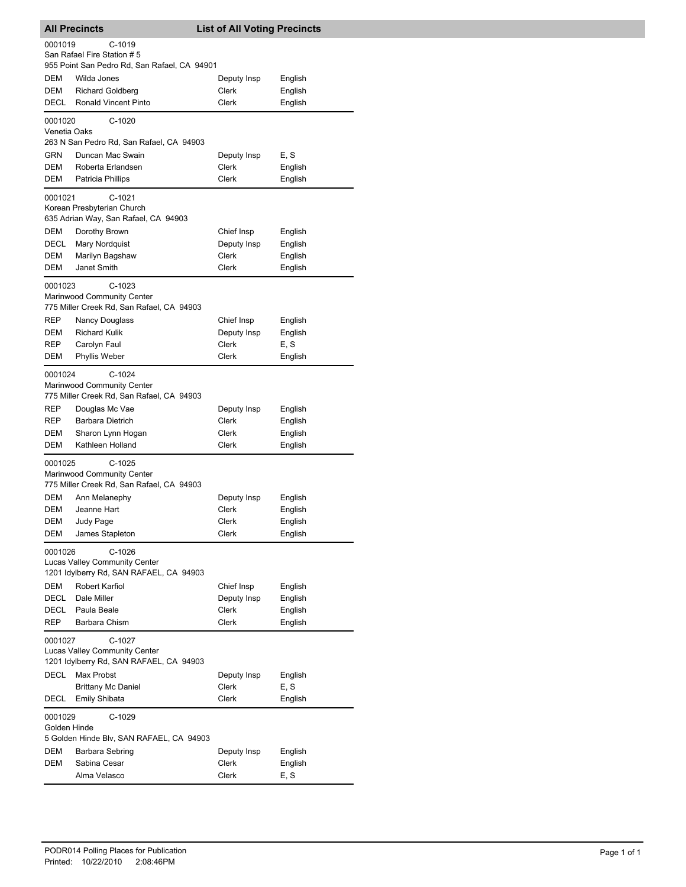|                         | <b>All Precincts</b>                                                                      | <b>List of All Voting Precincts</b> |                    |
|-------------------------|-------------------------------------------------------------------------------------------|-------------------------------------|--------------------|
| 0001019                 | C-1019                                                                                    |                                     |                    |
|                         | San Rafael Fire Station # 5                                                               |                                     |                    |
|                         | 955 Point San Pedro Rd, San Rafael, CA 94901                                              |                                     |                    |
| DEM                     | Wilda Jones                                                                               | Deputy Insp                         | English            |
| DEM<br>DECL             | <b>Richard Goldberg</b><br>Ronald Vincent Pinto                                           | Clerk<br>Clerk                      | English<br>English |
|                         |                                                                                           |                                     |                    |
| 0001020<br>Venetia Oaks | $C-1020$                                                                                  |                                     |                    |
|                         | 263 N San Pedro Rd, San Rafael, CA 94903                                                  |                                     |                    |
| GRN                     | Duncan Mac Swain                                                                          | Deputy Insp                         | E, S               |
| DEM                     | Roberta Erlandsen                                                                         | Clerk                               | English            |
| DEM                     | Patricia Phillips                                                                         | Clerk                               | English            |
| 0001021                 | C-1021                                                                                    |                                     |                    |
|                         | Korean Presbyterian Church<br>635 Adrian Way, San Rafael, CA 94903                        |                                     |                    |
| DEM                     | Dorothy Brown                                                                             | Chief Insp                          | English            |
| DECL                    | <b>Mary Nordquist</b>                                                                     | Deputy Insp                         | English            |
| DEM                     | Marilyn Bagshaw                                                                           | Clerk                               | English            |
| DEM                     | Janet Smith                                                                               | Clerk                               | English            |
| 0001023                 | $C-1023$<br>Marinwood Community Center<br>775 Miller Creek Rd, San Rafael, CA 94903       |                                     |                    |
| REP                     | Nancy Douglass                                                                            | Chief Insp                          | English            |
| DEM                     | <b>Richard Kulik</b>                                                                      | Deputy Insp                         | English            |
| REP                     | Carolyn Faul                                                                              | Clerk                               | E, S               |
| DEM                     | Phyllis Weber                                                                             | Clerk                               | English            |
| 0001024                 | $C-1024$<br>Marinwood Community Center<br>775 Miller Creek Rd, San Rafael, CA 94903       |                                     |                    |
| REP                     | Douglas Mc Vae                                                                            | Deputy Insp                         | English            |
| REP                     | Barbara Dietrich                                                                          | Clerk                               | English            |
| DEM                     | Sharon Lynn Hogan                                                                         | Clerk                               | English            |
| DEM                     | Kathleen Holland                                                                          | Clerk                               | English            |
| 0001025                 | $C-1025$<br>Marinwood Community Center<br>775 Miller Creek Rd, San Rafael, CA 94903       |                                     |                    |
| DEM                     | Ann Melanephy                                                                             | Deputy Insp                         | English            |
| <b>DEM</b>              | Jeanne Hart                                                                               | Clerk                               | English            |
| DEM                     | Judy Page                                                                                 | Clerk                               | English            |
| DEM                     | James Stapleton                                                                           | Clerk                               | English            |
| 0001026                 | C-1026<br><b>Lucas Valley Community Center</b><br>1201 Idylberry Rd, SAN RAFAEL, CA 94903 |                                     |                    |
| DEM                     | Robert Karfiol                                                                            | Chief Insp                          | English            |
| DECL                    | Dale Miller                                                                               | Deputy Insp                         | English            |
| DECL                    | Paula Beale                                                                               | Clerk                               | English            |
| <b>REP</b>              | Barbara Chism                                                                             | Clerk                               | English            |
| 0001027                 | C-1027<br>Lucas Valley Community Center                                                   |                                     |                    |
|                         | 1201 Idylberry Rd, SAN RAFAEL, CA 94903                                                   |                                     |                    |
| <b>DECL</b>             | Max Probst                                                                                | Deputy Insp                         | English            |
|                         | <b>Brittany Mc Daniel</b>                                                                 | Clerk                               | E, S               |
| DECL                    | <b>Emily Shibata</b>                                                                      | Clerk                               | English            |
| 0001029<br>Golden Hinde | C-1029<br>5 Golden Hinde Blv, SAN RAFAEL, CA 94903                                        |                                     |                    |
| DEM                     | Barbara Sebring                                                                           | Deputy Insp                         | English            |
| DEM                     | Sabina Cesar                                                                              | Clerk                               | English            |
|                         | Alma Velasco                                                                              | Clerk                               | E, S               |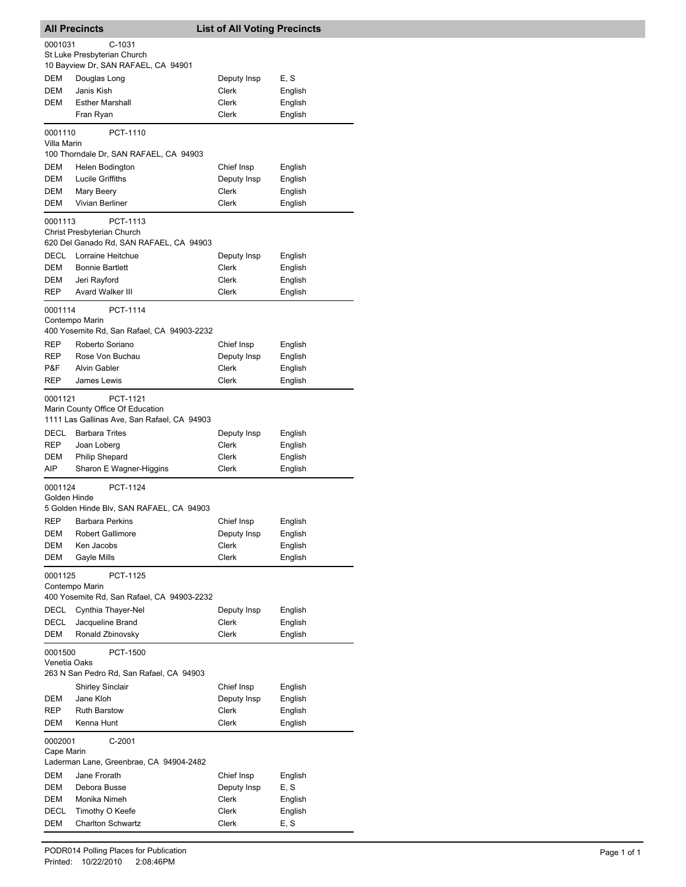| <b>All Precincts</b> |                                             | <b>List of All Voting Precincts</b> |         |
|----------------------|---------------------------------------------|-------------------------------------|---------|
| 0001031              | C-1031                                      |                                     |         |
|                      | St Luke Presbyterian Church                 |                                     |         |
|                      | 10 Bayview Dr, SAN RAFAEL, CA 94901         |                                     |         |
| DEM                  | Douglas Long                                | Deputy Insp                         | E, S    |
| <b>DEM</b>           | Janis Kish                                  | Clerk                               | English |
| <b>DEM</b>           | <b>Esther Marshall</b>                      | Clerk                               | English |
|                      | Fran Ryan                                   | Clerk                               | English |
| 0001110              | PCT-1110                                    |                                     |         |
| Villa Marin          |                                             |                                     |         |
|                      | 100 Thorndale Dr, SAN RAFAEL, CA 94903      |                                     |         |
| <b>DEM</b>           | Helen Bodington                             | Chief Insp                          | English |
| DEM                  | <b>Lucile Griffiths</b>                     | Deputy Insp                         | English |
| <b>DEM</b>           | Mary Beery                                  | Clerk                               | English |
| <b>DEM</b>           | Vivian Berliner                             | Clerk                               | English |
| 0001113              | PCT-1113                                    |                                     |         |
|                      | Christ Presbyterian Church                  |                                     |         |
|                      | 620 Del Ganado Rd, SAN RAFAEL, CA 94903     |                                     |         |
| DECL                 | Lorraine Heitchue                           | Deputy Insp                         | English |
| DEM                  | <b>Bonnie Bartlett</b>                      | Clerk                               | English |
| DEM                  | Jeri Rayford                                | Clerk                               | English |
| REP                  | Avard Walker III                            | Clerk                               | English |
| 0001114              | PCT-1114                                    |                                     |         |
| Contempo Marin       |                                             |                                     |         |
|                      | 400 Yosemite Rd, San Rafael, CA 94903-2232  |                                     |         |
| <b>REP</b>           | Roberto Soriano                             | Chief Insp                          | English |
| REP                  | Rose Von Buchau                             | Deputy Insp                         | English |
| P&F                  | Alvin Gabler                                | Clerk                               | English |
| REP                  | James Lewis                                 | Clerk                               | English |
| 0001121              | PCT-1121                                    |                                     |         |
|                      | Marin County Office Of Education            |                                     |         |
|                      | 1111 Las Gallinas Ave, San Rafael, CA 94903 |                                     |         |
| DECL                 | <b>Barbara Trites</b>                       | Deputy Insp                         | English |
| REP                  | Joan Loberg                                 | Clerk                               | English |
| DEM                  | <b>Philip Shepard</b>                       | Clerk                               | English |
| AIP                  | Sharon E Wagner-Higgins                     | Clerk                               | English |
| 0001124              | PCT-1124                                    |                                     |         |
| Golden Hinde         |                                             |                                     |         |
|                      | 5 Golden Hinde Blv, SAN RAFAEL, CA 94903    |                                     |         |
| <b>REP</b>           | <b>Barbara Perkins</b>                      | Chief Insp                          | English |
| DEM                  | <b>Robert Gallimore</b>                     | Deputy Insp                         | English |
| DEM                  | Ken Jacobs                                  | Clerk                               | English |
| DEM                  | Gayle Mills                                 | Clerk                               | English |
| 0001125              | PCT-1125                                    |                                     |         |
|                      | Contempo Marin                              |                                     |         |
|                      | 400 Yosemite Rd, San Rafael, CA 94903-2232  |                                     |         |
| DECL                 | Cynthia Thayer-Nel                          | Deputy Insp                         | English |
| DECL                 | Jacqueline Brand                            | Clerk                               | English |
| DEM                  | Ronald Zbinovsky                            | Clerk                               | English |
| 0001500              | PCT-1500                                    |                                     |         |
| Venetia Oaks         |                                             |                                     |         |
|                      | 263 N San Pedro Rd, San Rafael, CA 94903    |                                     |         |
|                      | <b>Shirley Sinclair</b>                     | Chief Insp                          | English |
| DEM                  | Jane Kloh                                   | Deputy Insp                         | English |
| REP                  | <b>Ruth Barstow</b>                         | Clerk                               | English |
| DEM                  | Kenna Hunt                                  | Clerk                               | English |
| 0002001              | C-2001                                      |                                     |         |
| Cape Marin           |                                             |                                     |         |
|                      | Laderman Lane, Greenbrae, CA 94904-2482     |                                     |         |
| DEM                  | Jane Frorath                                | Chief Insp                          | English |
| DEM                  | Debora Busse                                | Deputy Insp                         | E, S    |
| DEM                  | Monika Nimeh                                | Clerk                               | English |
| DECL                 | Timothy O Keefe                             | Clerk                               | English |
| DEM                  | <b>Charlton Schwartz</b>                    | Clerk                               | E, S    |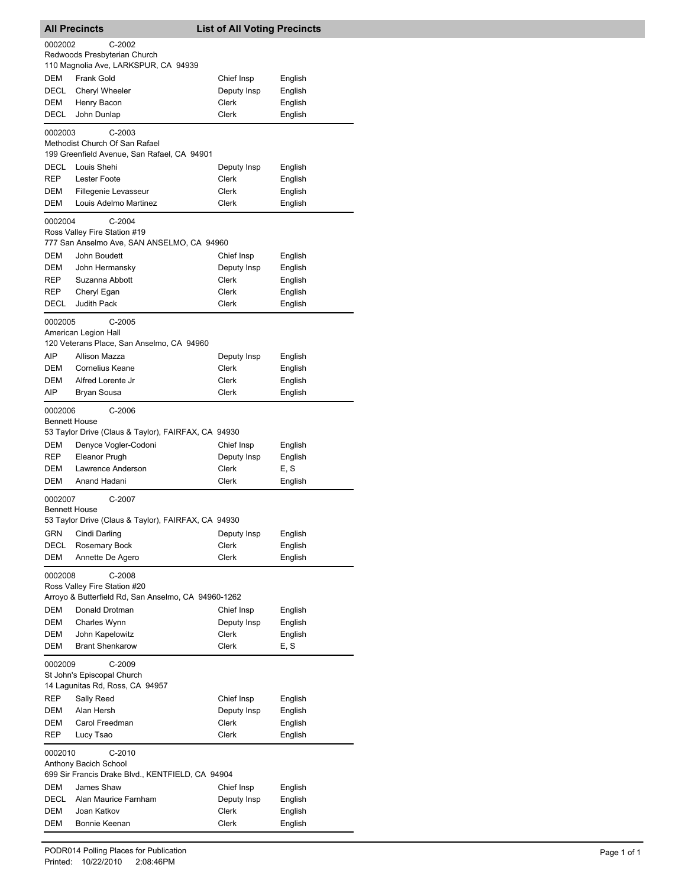|                     | <b>All Precincts</b>                                                        | <b>List of All Voting Precincts</b> |                    |  |  |
|---------------------|-----------------------------------------------------------------------------|-------------------------------------|--------------------|--|--|
| 0002002             | $C-2002$<br>Redwoods Presbyterian Church                                    |                                     |                    |  |  |
|                     | 110 Magnolia Ave, LARKSPUR, CA 94939                                        |                                     |                    |  |  |
| <b>DEM</b>          | <b>Frank Gold</b>                                                           | Chief Insp                          | English            |  |  |
| <b>DECL</b>         | Cheryl Wheeler                                                              | Deputy Insp                         | English            |  |  |
| DEM                 | Henry Bacon                                                                 | Clerk                               | English            |  |  |
| <b>DECL</b>         | John Dunlap                                                                 | <b>Clerk</b>                        | English            |  |  |
| 0002003             | $C-2003$<br>Methodist Church Of San Rafael                                  |                                     |                    |  |  |
|                     | 199 Greenfield Avenue, San Rafael, CA 94901                                 |                                     |                    |  |  |
| DECL                | Louis Shehi                                                                 | Deputy Insp                         | English            |  |  |
| <b>REP</b><br>DEM   | <b>Lester Foote</b><br>Fillegenie Levasseur                                 | Clerk<br>Clerk                      | English            |  |  |
| DEM                 | Louis Adelmo Martinez                                                       | Clerk                               | English<br>English |  |  |
|                     |                                                                             |                                     |                    |  |  |
| 0002004             | $C-2004$<br>Ross Valley Fire Station #19                                    |                                     |                    |  |  |
|                     | 777 San Anselmo Ave, SAN ANSELMO, CA 94960                                  |                                     |                    |  |  |
| DEM                 | John Boudett                                                                | Chief Insp                          | English            |  |  |
| DEM                 | John Hermansky                                                              | Deputy Insp                         | English            |  |  |
| <b>REP</b>          | Suzanna Abbott                                                              | Clerk                               | English            |  |  |
| REP                 | Cheryl Egan                                                                 | Clerk                               | English            |  |  |
| <b>DECL</b>         | <b>Judith Pack</b>                                                          | Clerk                               | English            |  |  |
| 0002005             | $C-2005$<br>American Legion Hall                                            |                                     |                    |  |  |
|                     | 120 Veterans Place, San Anselmo, CA 94960                                   |                                     |                    |  |  |
| AIP                 | Allison Mazza                                                               | Deputy Insp                         | English            |  |  |
| DEM                 | <b>Cornelius Keane</b>                                                      | Clerk                               | English            |  |  |
| DEM                 | Alfred Lorente Jr                                                           | Clerk                               | English            |  |  |
| AIP                 | <b>Bryan Sousa</b>                                                          | Clerk                               | English            |  |  |
| 0002006             | $C-2006$                                                                    |                                     |                    |  |  |
|                     | <b>Bennett House</b><br>53 Taylor Drive (Claus & Taylor), FAIRFAX, CA 94930 |                                     |                    |  |  |
| DEM                 | Denyce Vogler-Codoni                                                        | Chief Insp                          | English            |  |  |
| <b>REP</b>          | Eleanor Prugh                                                               | Deputy Insp                         | English            |  |  |
| DEM                 | Lawrence Anderson                                                           | Clerk                               | E, S               |  |  |
| <b>DEM</b>          | Anand Hadani                                                                | Clerk                               | English            |  |  |
| 0002007             | C-2007                                                                      |                                     |                    |  |  |
|                     | <b>Bennett House</b>                                                        |                                     |                    |  |  |
|                     | 53 Taylor Drive (Claus & Taylor), FAIRFAX, CA 94930                         |                                     |                    |  |  |
| GRN                 | Cindi Darling                                                               | Deputy Insp                         | English            |  |  |
| <b>DECL</b><br>DEM  | Rosemary Bock<br>Annette De Agero                                           | Clerk<br>Clerk                      | English<br>English |  |  |
|                     |                                                                             |                                     |                    |  |  |
| 0002008             | $C-2008$<br>Ross Valley Fire Station #20                                    |                                     |                    |  |  |
|                     | Arroyo & Butterfield Rd, San Anselmo, CA 94960-1262                         |                                     |                    |  |  |
| DEM                 | Donald Drotman                                                              | Chief Insp                          | English            |  |  |
| DEM                 | Charles Wynn                                                                | Deputy Insp                         | English            |  |  |
| DEM                 | John Kapelowitz                                                             | Clerk                               | English            |  |  |
| DEM                 | <b>Brant Shenkarow</b>                                                      | Clerk                               | E, S               |  |  |
| 0002009<br>$C-2009$ |                                                                             |                                     |                    |  |  |
|                     | St John's Episcopal Church                                                  |                                     |                    |  |  |
|                     | 14 Lagunitas Rd, Ross, CA 94957                                             |                                     |                    |  |  |
| REP                 | Sally Reed<br>Alan Hersh                                                    | Chief Insp                          | English            |  |  |
| DEM<br>DEM          | Carol Freedman                                                              | Deputy Insp<br>Clerk                | English<br>English |  |  |
| REP                 | Lucy Tsao                                                                   | Clerk                               | English            |  |  |
| 0002010             | $C-2010$                                                                    |                                     |                    |  |  |
|                     | Anthony Bacich School                                                       |                                     |                    |  |  |
|                     | 699 Sir Francis Drake Blvd., KENTFIELD, CA 94904                            |                                     |                    |  |  |
| DEM                 | James Shaw                                                                  | Chief Insp                          | English            |  |  |
| DECL                | Alan Maurice Farnham                                                        | Deputy Insp                         | English            |  |  |
| DEM                 | Joan Katkov                                                                 | Clerk                               | English            |  |  |
| DEM                 | Bonnie Keenan                                                               | Clerk                               | English            |  |  |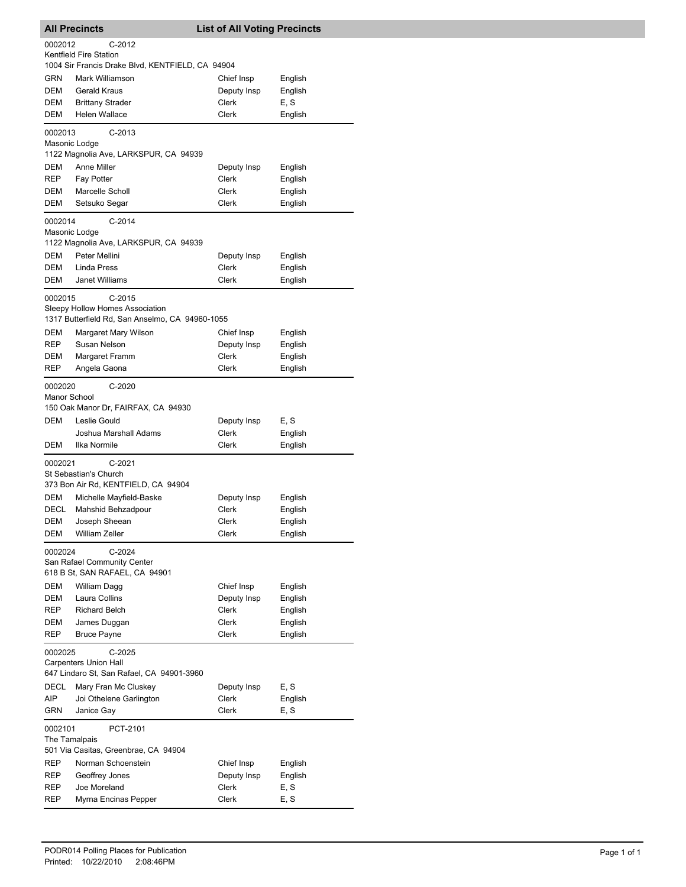| <b>All Precincts</b>     |                                                                                                | <b>List of All Voting Precincts</b> |                    |
|--------------------------|------------------------------------------------------------------------------------------------|-------------------------------------|--------------------|
| 0002012                  | $C-2012$                                                                                       |                                     |                    |
|                          | Kentfield Fire Station<br>1004 Sir Francis Drake Blvd, KENTFIELD, CA 94904                     |                                     |                    |
| <b>GRN</b>               | Mark Williamson                                                                                | Chief Insp                          | English            |
| <b>DEM</b>               | <b>Gerald Kraus</b>                                                                            | Deputy Insp                         | English            |
| DEM                      | <b>Brittany Strader</b>                                                                        | Clerk                               | E, S               |
| <b>DEM</b>               | Helen Wallace                                                                                  | Clerk                               | English            |
| 0002013<br>Masonic Lodge | $C-2013$                                                                                       |                                     |                    |
| DEM                      | 1122 Magnolia Ave, LARKSPUR, CA 94939<br>Anne Miller                                           |                                     |                    |
| <b>REP</b>               | Fay Potter                                                                                     | Deputy Insp<br>Clerk                | English<br>English |
| DEM                      | Marcelle Scholl                                                                                | Clerk                               | English            |
| DEM                      | Setsuko Segar                                                                                  | Clerk                               | English            |
| 0002014<br>Masonic Lodge | C-2014<br>1122 Magnolia Ave, LARKSPUR, CA 94939                                                |                                     |                    |
| DEM                      | Peter Mellini                                                                                  | Deputy Insp                         | English            |
| DEM                      | Linda Press                                                                                    | Clerk                               | English            |
| DEM                      | <b>Janet Williams</b>                                                                          | Clerk                               | English            |
| 0002015                  | $C-2015$<br>Sleepy Hollow Homes Association<br>1317 Butterfield Rd, San Anselmo, CA 94960-1055 |                                     |                    |
| DEM                      | Margaret Mary Wilson                                                                           | Chief Insp                          | English            |
| REP                      | Susan Nelson                                                                                   | Deputy Insp                         | English            |
| DEM<br>REP               | Margaret Framm<br>Angela Gaona                                                                 | Clerk<br>Clerk                      | English<br>English |
|                          |                                                                                                |                                     |                    |
| 0002020<br>Manor School  | $C-2020$<br>150 Oak Manor Dr, FAIRFAX, CA 94930                                                |                                     |                    |
| DEM                      | Leslie Gould                                                                                   | Deputy Insp                         | E, S               |
| DEM                      | Joshua Marshall Adams<br>Ilka Normile                                                          | Clerk<br>Clerk                      | English<br>English |
| 0002021                  | $C-2021$<br>St Sebastian's Church<br>373 Bon Air Rd, KENTFIELD, CA 94904                       |                                     |                    |
| DEM                      | Michelle Mayfield-Baske                                                                        | Deputy Insp                         | English            |
| <b>DECL</b>              | Mahshid Behzadpour                                                                             | Clerk                               | English            |
| DEM                      | Joseph Sheean                                                                                  | Clerk                               | English            |
| DEM                      | William Zeller                                                                                 | Clerk                               | English            |
| 0002024                  | $C-2024$<br>San Rafael Community Center<br>618 B St, SAN RAFAEL, CA 94901                      |                                     |                    |
| DEM                      | William Dagg                                                                                   | Chief Insp                          | English            |
| DEM                      | Laura Collins                                                                                  | Deputy Insp                         | English            |
| REP<br>DEM               | <b>Richard Belch</b><br>James Duggan                                                           | Clerk<br>Clerk                      | English<br>English |
| REP                      | <b>Bruce Payne</b>                                                                             | Clerk                               | English            |
| 0002025                  | C-2025<br><b>Carpenters Union Hall</b><br>647 Lindaro St, San Rafael, CA 94901-3960            |                                     |                    |
| DECL                     | Mary Fran Mc Cluskey                                                                           | Deputy Insp                         | E, S               |
| AIP                      | Joi Othelene Garlington                                                                        | Clerk                               | English            |
| GRN                      | Janice Gay                                                                                     | Clerk                               | E, S               |
| 0002101<br>The Tamalpais | PCT-2101                                                                                       |                                     |                    |
|                          | 501 Via Casitas, Greenbrae, CA 94904                                                           |                                     |                    |
| <b>REP</b>               | Norman Schoenstein                                                                             | Chief Insp                          | English            |
| REP<br>REP               | Geoffrey Jones<br>Joe Moreland                                                                 | Deputy Insp<br>Clerk                | English<br>E, S    |
| REP                      | Myrna Encinas Pepper                                                                           | Clerk                               | E, S               |
|                          |                                                                                                |                                     |                    |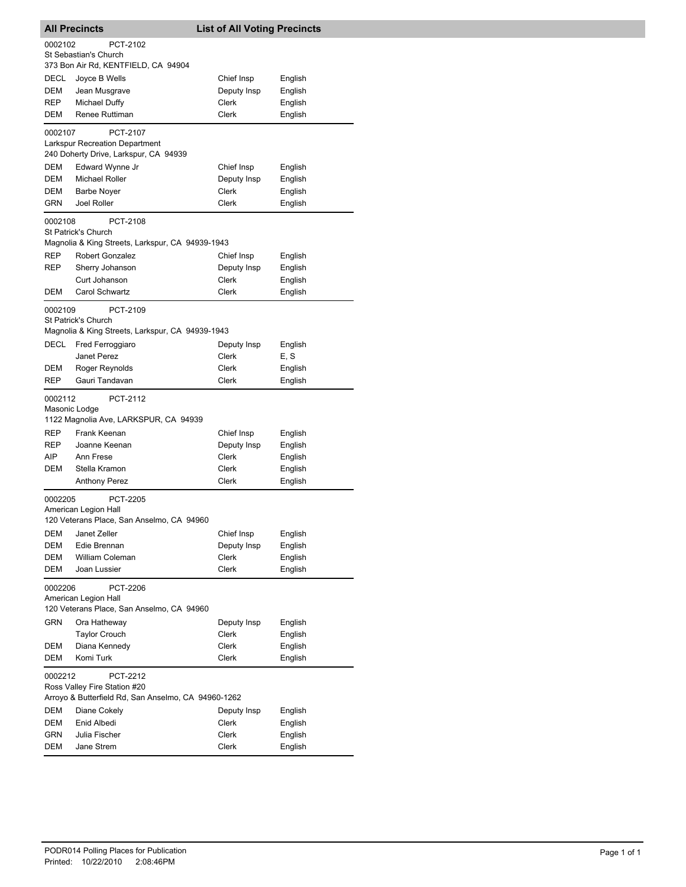| <b>All Precincts</b>     |                                                                   | <b>List of All Voting Precincts</b> |                    |
|--------------------------|-------------------------------------------------------------------|-------------------------------------|--------------------|
| 0002102                  | PCT-2102<br>St Sebastian's Church                                 |                                     |                    |
|                          | 373 Bon Air Rd, KENTFIELD, CA 94904                               |                                     |                    |
| DECL                     | Joyce B Wells                                                     | Chief Insp                          | English            |
| DEM                      | Jean Musgrave                                                     | Deputy Insp                         | English            |
| REP                      | <b>Michael Duffy</b>                                              | Clerk                               | English            |
| DEM                      | Renee Ruttiman                                                    | Clerk                               | English            |
| 0002107                  | PCT-2107<br>Larkspur Recreation Department                        |                                     |                    |
|                          | 240 Doherty Drive, Larkspur, CA 94939                             |                                     |                    |
| DEM                      | Edward Wynne Jr                                                   | Chief Insp                          | English            |
| DEM                      | <b>Michael Roller</b>                                             | Deputy Insp                         | English            |
| DEM                      | <b>Barbe Noyer</b>                                                | Clerk                               | English            |
| GRN                      | Joel Roller                                                       | Clerk                               | English            |
| 0002108                  | PCT-2108<br>St Patrick's Church                                   |                                     |                    |
|                          | Magnolia & King Streets, Larkspur, CA 94939-1943                  |                                     |                    |
| REP                      | <b>Robert Gonzalez</b>                                            | Chief Insp                          | English            |
| REP                      | Sherry Johanson                                                   | Deputy Insp                         | English            |
|                          | Curt Johanson                                                     | Clerk                               | English            |
| DEM                      | Carol Schwartz                                                    | Clerk                               | English            |
| 0002109                  | PCT-2109<br>St Patrick's Church                                   |                                     |                    |
|                          | Magnolia & King Streets, Larkspur, CA 94939-1943                  |                                     |                    |
| DECL                     | Fred Ferroggiaro                                                  | Deputy Insp                         | English            |
|                          | Janet Perez                                                       | Clerk                               | E, S               |
| DEM                      | Roger Reynolds                                                    | Clerk                               | English            |
| REP                      | Gauri Tandavan                                                    | Clerk                               | English            |
| 0002112<br>Masonic Lodge | PCT-2112<br>1122 Magnolia Ave, LARKSPUR, CA 94939                 |                                     |                    |
| REP                      | Frank Keenan                                                      | Chief Insp                          | English            |
| REP                      | Joanne Keenan                                                     | Deputy Insp                         | English            |
| AIP                      | Ann Frese                                                         | Clerk                               | English            |
| DEM                      | Stella Kramon                                                     | Clerk                               | English            |
|                          | <b>Anthony Perez</b>                                              | Clerk                               | English            |
| 0002205                  | PCT-2205                                                          |                                     |                    |
|                          | American Legion Hall<br>120 Veterans Place, San Anselmo, CA 94960 |                                     |                    |
| DEM                      | Janet Zeller                                                      | Chief Insp                          | English            |
| DEM                      | Edie Brennan                                                      | Deputy Insp                         | English            |
| DEM                      | <b>William Coleman</b>                                            | Clerk                               | English            |
| DEM                      | Joan Lussier                                                      | Clerk                               | English            |
| 0002206                  | PCT-2206                                                          |                                     |                    |
|                          | American Legion Hall<br>120 Veterans Place, San Anselmo, CA 94960 |                                     |                    |
| GRN                      | Ora Hatheway                                                      |                                     |                    |
|                          | <b>Taylor Crouch</b>                                              | Deputy Insp<br>Clerk                | English<br>English |
| DEM                      | Diana Kennedy                                                     | Clerk                               | English            |
| DEM                      | Komi Turk                                                         | Clerk                               | English            |
|                          |                                                                   |                                     |                    |
| 0002212                  | PCT-2212<br>Ross Valley Fire Station #20                          |                                     |                    |
|                          | Arroyo & Butterfield Rd, San Anselmo, CA 94960-1262               |                                     |                    |
| DEM                      | Diane Cokely                                                      | Deputy Insp                         | English            |
| DEM                      | Enid Albedi                                                       | Clerk                               | English            |
| GRN<br>DEM               | Julia Fischer<br>Jane Strem                                       | Clerk<br>Clerk                      | English<br>English |
|                          |                                                                   |                                     |                    |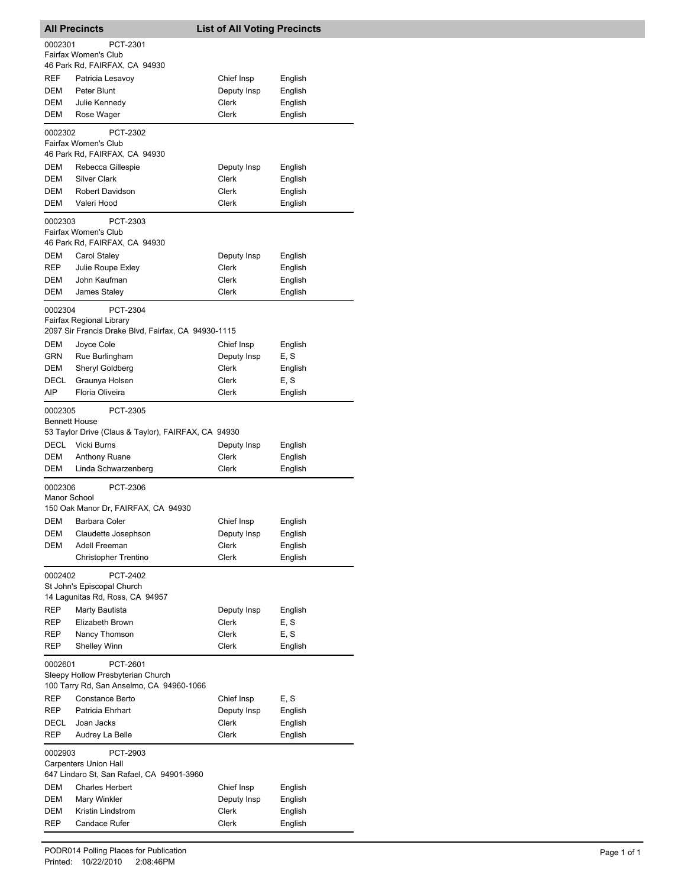|                                                          | <b>All Precincts</b>                                                      | <b>List of All Voting Precincts</b> |                    |  |
|----------------------------------------------------------|---------------------------------------------------------------------------|-------------------------------------|--------------------|--|
| 0002301                                                  | PCT-2301                                                                  |                                     |                    |  |
|                                                          | Fairfax Women's Club                                                      |                                     |                    |  |
| REF                                                      | 46 Park Rd, FAIRFAX, CA 94930                                             | Chief Insp                          |                    |  |
| DEM                                                      | Patricia Lesavoy<br>Peter Blunt                                           | Deputy Insp                         | English<br>English |  |
| DEM                                                      | Julie Kennedy                                                             | Clerk                               | English            |  |
| DEM                                                      | Rose Wager                                                                | Clerk                               | English            |  |
| 0002302                                                  | PCT-2302                                                                  |                                     |                    |  |
|                                                          | Fairfax Women's Club<br>46 Park Rd, FAIRFAX, CA 94930                     |                                     |                    |  |
| DEM                                                      | Rebecca Gillespie                                                         | Deputy Insp                         | English            |  |
| DEM                                                      | <b>Silver Clark</b>                                                       | Clerk                               | English            |  |
| DEM<br>DEM                                               | Robert Davidson<br>Valeri Hood                                            | Clerk<br>Clerk                      | English<br>English |  |
|                                                          | PCT-2303                                                                  |                                     |                    |  |
| 0002303                                                  | Fairfax Women's Club<br>46 Park Rd, FAIRFAX, CA 94930                     |                                     |                    |  |
| DEM                                                      | Carol Staley                                                              | Deputy Insp                         | English            |  |
| <b>REP</b>                                               | Julie Roupe Exley                                                         | Clerk                               | English            |  |
| DEM                                                      | John Kaufman                                                              | Clerk                               | English            |  |
| DEM                                                      | James Staley                                                              | Clerk                               | English            |  |
| 0002304                                                  | PCT-2304<br>Fairfax Regional Library                                      |                                     |                    |  |
|                                                          | 2097 Sir Francis Drake Blvd, Fairfax, CA 94930-1115                       |                                     |                    |  |
| DEM                                                      | Joyce Cole                                                                | Chief Insp                          | English            |  |
| GRN                                                      | Rue Burlingham                                                            | Deputy Insp                         | E, S               |  |
| DEM                                                      | Sheryl Goldberg                                                           | Clerk                               | English            |  |
| <b>DECL</b>                                              | Graunya Holsen                                                            | Clerk                               | E, S               |  |
| AIP                                                      | Floria Oliveira                                                           | Clerk                               | English            |  |
| 0002305<br><b>Bennett House</b>                          | PCT-2305                                                                  |                                     |                    |  |
|                                                          | 53 Taylor Drive (Claus & Taylor), FAIRFAX, CA 94930                       |                                     |                    |  |
| DECL                                                     | Vicki Burns                                                               | Deputy Insp                         | English            |  |
| DEM                                                      | Anthony Ruane                                                             | Clerk                               | English            |  |
| <b>DEM</b>                                               | Linda Schwarzenberg                                                       | Clerk                               | English            |  |
| 0002306<br>Manor School                                  | PCT-2306                                                                  |                                     |                    |  |
|                                                          | 150 Oak Manor Dr, FAIRFAX, CA 94930                                       |                                     |                    |  |
|                                                          | DEM Barbara Coler                                                         | Chief Insp                          | English            |  |
| DEM<br>DEM                                               | Claudette Josephson<br>Adell Freeman                                      | Deputy Insp<br>Clerk                | English<br>English |  |
|                                                          | Christopher Trentino                                                      | Clerk                               | English            |  |
| 0002402                                                  | PCT-2402                                                                  |                                     |                    |  |
|                                                          | St John's Episcopal Church<br>14 Lagunitas Rd, Ross, CA 94957             |                                     |                    |  |
| <b>REP</b>                                               | Marty Bautista                                                            | Deputy Insp                         | English            |  |
| REP                                                      | Elizabeth Brown                                                           | Clerk                               | E, S               |  |
| REP                                                      | Nancy Thomson                                                             | Clerk                               | E, S               |  |
| REP                                                      | <b>Shelley Winn</b>                                                       | Clerk                               | English            |  |
| 0002601<br>PCT-2601<br>Sleepy Hollow Presbyterian Church |                                                                           |                                     |                    |  |
|                                                          | 100 Tarry Rd, San Anselmo, CA 94960-1066                                  |                                     |                    |  |
| REP                                                      | Constance Berto                                                           | Chief Insp                          | E, S               |  |
| REP                                                      | Patricia Ehrhart                                                          | Deputy Insp                         | English            |  |
| DECL<br>REP                                              | Joan Jacks<br>Audrey La Belle                                             | Clerk<br>Clerk                      | English<br>English |  |
| 0002903                                                  | PCT-2903                                                                  |                                     |                    |  |
|                                                          | <b>Carpenters Union Hall</b><br>647 Lindaro St, San Rafael, CA 94901-3960 |                                     |                    |  |
| DEM                                                      | <b>Charles Herbert</b>                                                    | Chief Insp                          | English            |  |
| DEM                                                      | Mary Winkler                                                              | Deputy Insp                         | English            |  |
| DEM                                                      | Kristin Lindstrom                                                         | Clerk                               | English            |  |
| REP                                                      | <b>Candace Rufer</b>                                                      | Clerk                               | English            |  |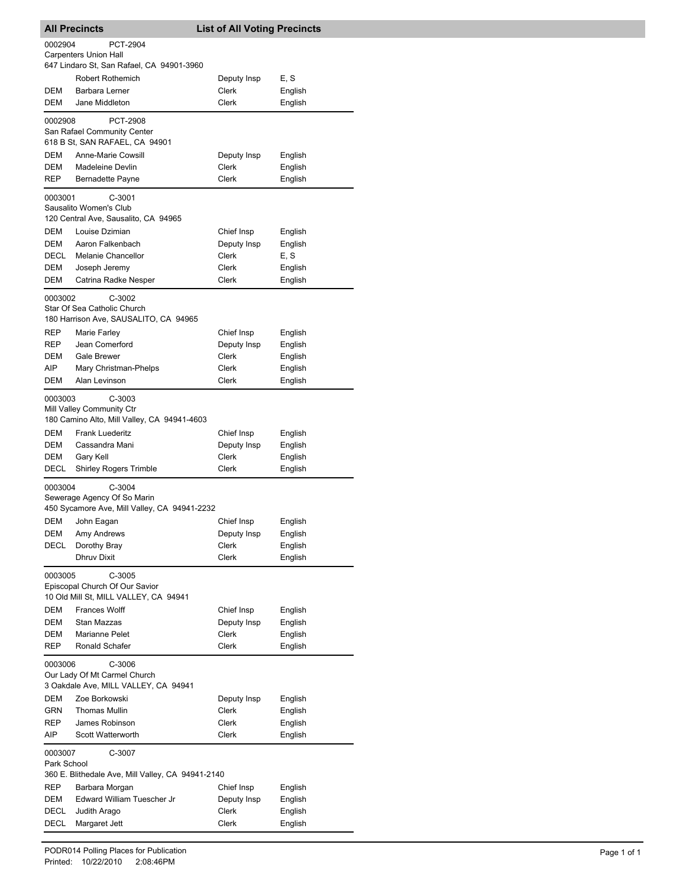|             | <b>All Precincts</b>                                                    | <b>List of All Voting Precincts</b> |                    |
|-------------|-------------------------------------------------------------------------|-------------------------------------|--------------------|
| 0002904     | PCT-2904                                                                |                                     |                    |
|             | <b>Carpenters Union Hall</b>                                            |                                     |                    |
|             | 647 Lindaro St, San Rafael, CA 94901-3960                               |                                     |                    |
|             | Robert Rothemich                                                        | Deputy Insp                         | E, S               |
| DEM         | Barbara Lerner                                                          | Clerk                               | English            |
| DEM         | Jane Middleton                                                          | Clerk                               | English            |
| 0002908     | PCT-2908                                                                |                                     |                    |
|             | San Rafael Community Center<br>618 B St, SAN RAFAEL, CA 94901           |                                     |                    |
|             |                                                                         |                                     |                    |
| DEM<br>DEM  | Anne-Marie Cowsill<br>Madeleine Devlin                                  | Deputy Insp<br>Clerk                | English<br>English |
| REP         | Bernadette Payne                                                        | Clerk                               | English            |
|             |                                                                         |                                     |                    |
| 0003001     | $C-3001$<br>Sausalito Women's Club                                      |                                     |                    |
|             | 120 Central Ave, Sausalito, CA 94965                                    |                                     |                    |
| DEM         | Louise Dzimian                                                          | Chief Insp                          | English            |
| DEM         | Aaron Falkenbach                                                        | Deputy Insp                         | English            |
| DECL        | <b>Melanie Chancellor</b>                                               | Clerk                               | E, S               |
| DEM         | Joseph Jeremy                                                           | Clerk                               | English            |
| DEM         | Catrina Radke Nesper                                                    | Clerk                               | English            |
| 0003002     | $C-3002$                                                                |                                     |                    |
|             | Star Of Sea Catholic Church                                             |                                     |                    |
|             | 180 Harrison Ave, SAUSALITO, CA 94965                                   |                                     |                    |
| REP         | Marie Farley                                                            | Chief Insp                          | English            |
| <b>REP</b>  | Jean Comerford                                                          | Deputy Insp                         | English            |
| DEM         | Gale Brewer                                                             | Clerk                               | English            |
| AIP         | Mary Christman-Phelps                                                   | Clerk                               | English            |
| DEM         | Alan Levinson                                                           | Clerk                               | English            |
| 0003003     | C-3003                                                                  |                                     |                    |
|             | Mill Valley Community Ctr                                               |                                     |                    |
|             | 180 Camino Alto, Mill Valley, CA 94941-4603                             |                                     |                    |
| DEM         | <b>Frank Luederitz</b>                                                  | Chief Insp                          | English            |
| DEM         | Cassandra Mani                                                          | Deputy Insp                         | English            |
| DEM         | Gary Kell                                                               | Clerk                               | English            |
| DECL        | <b>Shirley Rogers Trimble</b>                                           | Clerk                               | English            |
| 0003004     | $C-3004$                                                                |                                     |                    |
|             | Sewerage Agency Of So Marin                                             |                                     |                    |
|             | 450 Sycamore Ave, Mill Valley, CA 94941-2232                            |                                     |                    |
| <b>DEM</b>  | John Eagan                                                              | Chief Insp                          | English            |
| DEM         | Amy Andrews                                                             | Deputy Insp                         | English            |
| DECL        | Dorothy Bray<br><b>Dhruv Dixit</b>                                      | Clerk<br><b>Clerk</b>               | English<br>English |
|             |                                                                         |                                     |                    |
| 0003005     | $C-3005$                                                                |                                     |                    |
|             | Episcopal Church Of Our Savior<br>10 Old Mill St, MILL VALLEY, CA 94941 |                                     |                    |
|             | <b>Frances Wolff</b>                                                    |                                     |                    |
| DEM<br>DEM  | Stan Mazzas                                                             | Chief Insp<br>Deputy Insp           | English<br>English |
| DEM         | Marianne Pelet                                                          | Clerk                               | English            |
| REP         | Ronald Schafer                                                          | Clerk                               | English            |
|             |                                                                         |                                     |                    |
| 0003006     | C-3006<br>Our Lady Of Mt Carmel Church                                  |                                     |                    |
|             | 3 Oakdale Ave, MILL VALLEY, CA 94941                                    |                                     |                    |
| DEM         | Zoe Borkowski                                                           | Deputy Insp                         | English            |
| GRN         | <b>Thomas Mullin</b>                                                    | Clerk                               | English            |
| REP         | James Robinson                                                          | Clerk                               | English            |
| AIP         | Scott Watterworth                                                       | Clerk                               | English            |
| 0003007     | C-3007                                                                  |                                     |                    |
| Park School |                                                                         |                                     |                    |
|             | 360 E. Blithedale Ave, Mill Valley, CA 94941-2140                       |                                     |                    |
| REP         | Barbara Morgan                                                          | Chief Insp                          | English            |
| DEM         | Edward William Tuescher Jr                                              | Deputy Insp                         | English            |
| DECL        | Judith Arago                                                            | Clerk                               | English            |
| DECL        | Margaret Jett                                                           | Clerk                               | English            |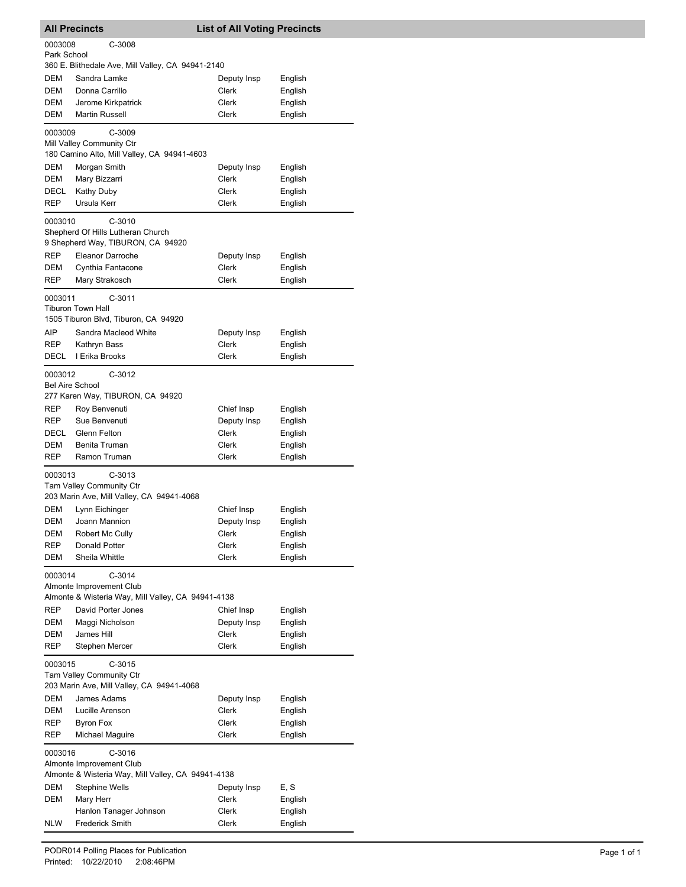|                                                                                                     | <b>All Precincts</b>                                                                       | <b>List of All Voting Precincts</b> |                    |  |
|-----------------------------------------------------------------------------------------------------|--------------------------------------------------------------------------------------------|-------------------------------------|--------------------|--|
| 0003008<br>Park School                                                                              | C-3008                                                                                     |                                     |                    |  |
|                                                                                                     | 360 E. Blithedale Ave, Mill Valley, CA 94941-2140                                          |                                     |                    |  |
| DEM                                                                                                 | Sandra Lamke                                                                               | Deputy Insp                         | English            |  |
| DEM                                                                                                 | Donna Carrillo                                                                             | Clerk                               | English            |  |
| DEM                                                                                                 | Jerome Kirkpatrick                                                                         | <b>Clerk</b>                        | English            |  |
| DEM                                                                                                 | <b>Martin Russell</b>                                                                      | Clerk                               | English            |  |
| 0003009                                                                                             | C-3009<br>Mill Valley Community Ctr<br>180 Camino Alto, Mill Valley, CA 94941-4603         |                                     |                    |  |
| DEM                                                                                                 | Morgan Smith                                                                               | Deputy Insp                         | English            |  |
| DEM                                                                                                 | Mary Bizzarri                                                                              | Clerk                               | English            |  |
| DECL                                                                                                | Kathy Duby                                                                                 | Clerk                               | English            |  |
| REP                                                                                                 | Ursula Kerr                                                                                | Clerk                               | English            |  |
| 0003010                                                                                             | $C-3010$<br>Shepherd Of Hills Lutheran Church<br>9 Shepherd Way, TIBURON, CA 94920         |                                     |                    |  |
| REP                                                                                                 | Eleanor Darroche                                                                           | Deputy Insp                         | English            |  |
| DEM                                                                                                 | Cynthia Fantacone                                                                          | Clerk                               | English            |  |
| REP                                                                                                 | Mary Strakosch                                                                             | Clerk                               | English            |  |
| 0003011                                                                                             | $C-3011$<br><b>Tiburon Town Hall</b><br>1505 Tiburon Blvd, Tiburon, CA 94920               |                                     |                    |  |
| AIP                                                                                                 | Sandra Macleod White                                                                       | Deputy Insp                         | English            |  |
| REP                                                                                                 | Kathryn Bass                                                                               | Clerk                               | English            |  |
| DECL                                                                                                | I Erika Brooks                                                                             | Clerk                               | English            |  |
| 0003012<br><b>Bel Aire School</b>                                                                   | $C-3012$<br>277 Karen Way, TIBURON, CA 94920                                               |                                     |                    |  |
| REP                                                                                                 | Roy Benvenuti                                                                              | Chief Insp                          | English            |  |
| REP                                                                                                 | Sue Benvenuti                                                                              | Deputy Insp                         | English            |  |
| DECL                                                                                                | Glenn Felton                                                                               | Clerk                               | English            |  |
| DEM<br>REP                                                                                          | Benita Truman<br>Ramon Truman                                                              | Clerk<br>Clerk                      | English<br>English |  |
| 0003013                                                                                             | $C-3013$<br>Tam Valley Community Ctr<br>203 Marin Ave, Mill Valley, CA 94941-4068          |                                     |                    |  |
| DEM                                                                                                 | Lynn Eichinger                                                                             | Chief Insp                          | English            |  |
| DEM                                                                                                 | Joann Mannion                                                                              | Deputy Insp                         | English            |  |
| DEM                                                                                                 | Robert Mc Cully                                                                            | Clerk                               | English            |  |
| REP                                                                                                 | Donald Potter                                                                              | Clerk                               | English            |  |
| DEM                                                                                                 | Sheila Whittle                                                                             | Clerk                               | English            |  |
| 0003014                                                                                             | C-3014<br>Almonte Improvement Club<br>Almonte & Wisteria Way, Mill Valley, CA 94941-4138   |                                     |                    |  |
| REP                                                                                                 | David Porter Jones                                                                         | Chief Insp                          | English            |  |
| <b>DEM</b>                                                                                          | Maggi Nicholson                                                                            | Deputy Insp                         | English            |  |
| DEM<br><b>REP</b>                                                                                   | James Hill<br>Stephen Mercer                                                               | <b>Clerk</b><br>Clerk               | English<br>English |  |
| $C-3015$<br>0003015<br><b>Tam Valley Community Ctr</b><br>203 Marin Ave, Mill Valley, CA 94941-4068 |                                                                                            |                                     |                    |  |
| DEM                                                                                                 | James Adams                                                                                | Deputy Insp                         | English            |  |
| DEM                                                                                                 | Lucille Arenson                                                                            | Clerk                               | English            |  |
| REP                                                                                                 | <b>Byron Fox</b>                                                                           | Clerk                               | English            |  |
| REP                                                                                                 | Michael Maguire                                                                            | Clerk                               | English            |  |
| 0003016                                                                                             | $C-3016$<br>Almonte Improvement Club<br>Almonte & Wisteria Way, Mill Valley, CA 94941-4138 |                                     |                    |  |
| DEM                                                                                                 | <b>Stephine Wells</b>                                                                      | Deputy Insp                         | E, S               |  |
| DEM                                                                                                 | Mary Herr                                                                                  | Clerk                               | English            |  |
|                                                                                                     | Hanlon Tanager Johnson                                                                     | Clerk                               | English            |  |
| NLW                                                                                                 | <b>Frederick Smith</b>                                                                     | Clerk                               | English            |  |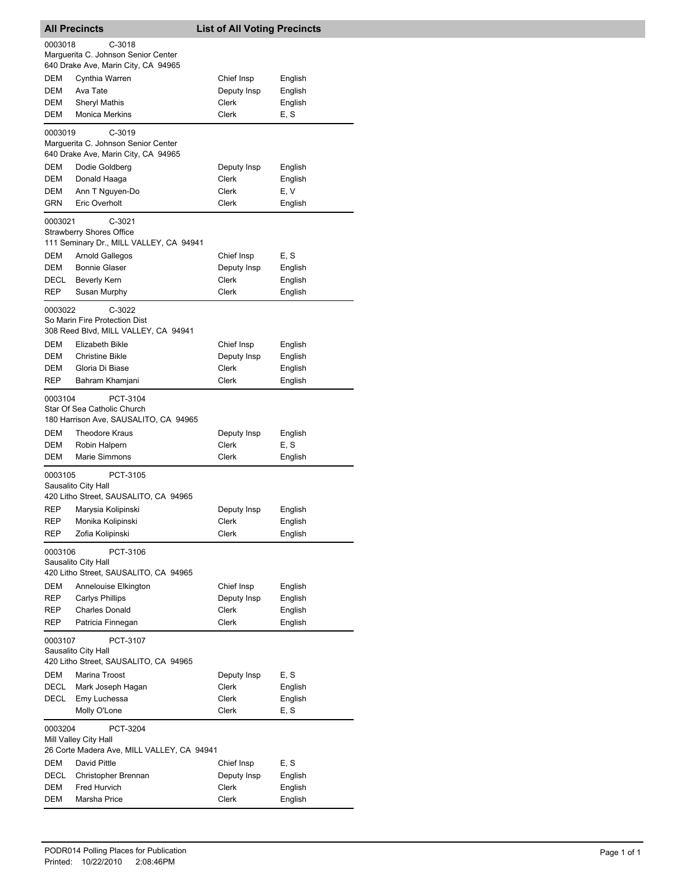| <b>All Precincts</b>                                                                |                                                                                                      | <b>List of All Voting Precincts</b>         |                                          |  |
|-------------------------------------------------------------------------------------|------------------------------------------------------------------------------------------------------|---------------------------------------------|------------------------------------------|--|
| 0003018                                                                             | $C-3018$<br>Marguerita C. Johnson Senior Center<br>640 Drake Ave, Marin City, CA 94965               |                                             |                                          |  |
| DEM<br>DEM<br>DEM<br>DEM                                                            | Cynthia Warren<br>Ava Tate<br>Sheryl Mathis<br><b>Monica Merkins</b>                                 | Chief Insp<br>Deputy Insp<br>Clerk<br>Clerk | English<br>English<br>English<br>E, S    |  |
| 0003019                                                                             | $C-3019$<br>Marguerita C. Johnson Senior Center<br>640 Drake Ave, Marin City, CA 94965               |                                             |                                          |  |
| DEM<br>DEM<br>DEM                                                                   | Dodie Goldberg<br>Donald Haaga<br>Ann T Nguyen-Do                                                    | Deputy Insp<br>Clerk<br>Clerk               | English<br>English<br>E, V               |  |
| GRN<br>0003021                                                                      | Eric Overholt<br>$C-3021$<br><b>Strawberry Shores Office</b>                                         | Clerk                                       | English                                  |  |
| <b>DEM</b>                                                                          | 111 Seminary Dr., MILL VALLEY, CA 94941<br>Arnold Gallegos                                           | Chief Insp                                  | E, S                                     |  |
| DEM<br>DECL<br>REP                                                                  | <b>Bonnie Glaser</b><br><b>Beverly Kern</b><br>Susan Murphy                                          | Deputy Insp<br>Clerk<br>Clerk               | English<br>English<br>English            |  |
| 0003022                                                                             | $C-3022$<br>So Marin Fire Protection Dist<br>308 Reed Blvd, MILL VALLEY, CA 94941                    |                                             |                                          |  |
| DEM<br>DEM<br>DEM<br>REP                                                            | Elizabeth Bikle<br><b>Christine Bikle</b><br>Gloria Di Biase<br>Bahram Khamjani                      | Chief Insp<br>Deputy Insp<br>Clerk<br>Clerk | English<br>English<br>English<br>English |  |
| 0003104                                                                             | PCT-3104<br>Star Of Sea Catholic Church<br>180 Harrison Ave, SAUSALITO, CA 94965                     |                                             |                                          |  |
| DEM<br>DEM<br>DEM                                                                   | Theodore Kraus<br>Robin Halpern<br>Marie Simmons                                                     | Deputy Insp<br>Clerk<br>Clerk               | English<br>E, S<br>English               |  |
| 0003105                                                                             | PCT-3105<br>Sausalito City Hall                                                                      |                                             |                                          |  |
| REP<br>REP<br>REP                                                                   | 420 Litho Street, SAUSALITO, CA 94965<br>Marysia Kolipinski<br>Monika Kolipinski<br>Zofia Kolipinski | Deputy Insp<br>Clerk<br>Clerk               | English<br>English<br>English            |  |
| 0003106                                                                             | PCT-3106<br>Sausalito City Hall<br>420 Litho Street, SAUSALITO, CA 94965                             |                                             |                                          |  |
| DEM<br>REP<br>REP<br>REP                                                            | Annelouise Elkington<br><b>Carlys Phillips</b><br><b>Charles Donald</b><br>Patricia Finnegan         | Chief Insp<br>Deputy Insp<br>Clerk<br>Clerk | English<br>English<br>English<br>English |  |
| 0003107<br>PCT-3107<br>Sausalito City Hall<br>420 Litho Street, SAUSALITO, CA 94965 |                                                                                                      |                                             |                                          |  |
| DEM<br>DECL<br>DECL                                                                 | Marina Troost<br>Mark Joseph Hagan<br>Emy Luchessa<br>Molly O'Lone                                   | Deputy Insp<br>Clerk<br>Clerk<br>Clerk      | E, S<br>English<br>English<br>E, S       |  |
| 0003204                                                                             | PCT-3204<br>Mill Valley City Hall<br>26 Corte Madera Ave, MILL VALLEY, CA 94941                      |                                             |                                          |  |
| DEM<br>DECL<br>DEM<br>DEM                                                           | David Pittle<br>Christopher Brennan<br>Fred Hurvich<br>Marsha Price                                  | Chief Insp<br>Deputy Insp<br>Clerk<br>Clerk | E, S<br>English<br>English<br>English    |  |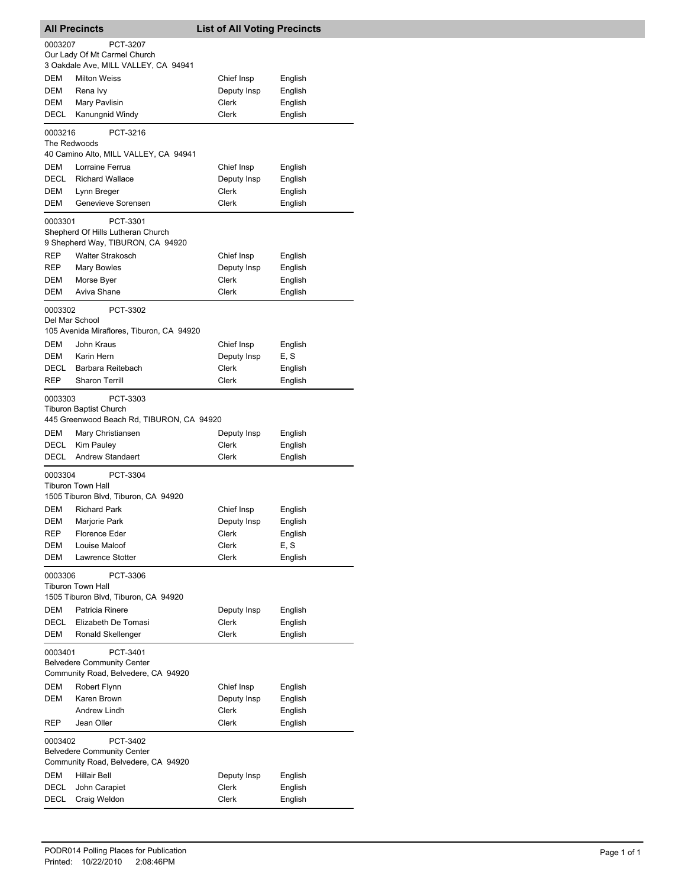| <b>All Precincts</b>                                                                            |                                                                                        | <b>List of All Voting Precincts</b> |         |  |
|-------------------------------------------------------------------------------------------------|----------------------------------------------------------------------------------------|-------------------------------------|---------|--|
| 0003207                                                                                         | PCT-3207                                                                               |                                     |         |  |
|                                                                                                 | Our Lady Of Mt Carmel Church                                                           |                                     |         |  |
|                                                                                                 | 3 Oakdale Ave, MILL VALLEY, CA 94941                                                   |                                     |         |  |
| DEM                                                                                             | <b>Milton Weiss</b>                                                                    | Chief Insp                          | English |  |
| DEM                                                                                             | Rena Ivy                                                                               | Deputy Insp                         | English |  |
| DEM                                                                                             | Mary Pavlisin                                                                          | Clerk                               | English |  |
| DECL                                                                                            | Kanungnid Windy                                                                        | Clerk                               | English |  |
| 0003216<br>The Redwoods                                                                         | PCT-3216<br>40 Camino Alto, MILL VALLEY, CA 94941                                      |                                     |         |  |
| DEM                                                                                             | Lorraine Ferrua                                                                        | Chief Insp                          | English |  |
| DECL                                                                                            | <b>Richard Wallace</b>                                                                 | Deputy Insp                         | English |  |
| <b>DEM</b>                                                                                      | Lynn Breger                                                                            | Clerk                               | English |  |
| DEM                                                                                             | Genevieve Sorensen                                                                     | Clerk                               | English |  |
| 0003301                                                                                         | PCT-3301<br>Shepherd Of Hills Lutheran Church<br>9 Shepherd Way, TIBURON, CA 94920     |                                     |         |  |
| REP                                                                                             | <b>Walter Strakosch</b>                                                                | Chief Insp                          | English |  |
| REP                                                                                             | Mary Bowles                                                                            | Deputy Insp                         | English |  |
| DEM                                                                                             | Morse Byer<br>Aviva Shane                                                              | <b>Clerk</b>                        | English |  |
| DEM                                                                                             |                                                                                        | Clerk                               | English |  |
| 0003302<br>Del Mar School                                                                       | PCT-3302<br>105 Avenida Miraflores, Tiburon, CA 94920                                  |                                     |         |  |
| DEM                                                                                             | John Kraus                                                                             | Chief Insp                          | English |  |
| DEM                                                                                             | Karin Hern                                                                             | Deputy Insp                         | E, S    |  |
| DECL                                                                                            | Barbara Reitebach                                                                      | Clerk                               | English |  |
| REP                                                                                             | <b>Sharon Terrill</b>                                                                  | Clerk                               | English |  |
| 0003303                                                                                         | PCT-3303<br><b>Tiburon Baptist Church</b><br>445 Greenwood Beach Rd, TIBURON, CA 94920 |                                     |         |  |
| DEM                                                                                             | Mary Christiansen                                                                      | Deputy Insp                         | English |  |
| DECL                                                                                            | Kim Pauley<br><b>Andrew Standaert</b>                                                  | Clerk                               | English |  |
| DECL                                                                                            |                                                                                        | Clerk                               | English |  |
| 0003304                                                                                         | PCT-3304<br>Tiburon Town Hall<br>1505 Tiburon Blvd, Tiburon, CA 94920                  |                                     |         |  |
| DEM                                                                                             | <b>Richard Park</b>                                                                    | Chief Insp                          | English |  |
| DEM                                                                                             | Marjorie Park                                                                          | Deputy Insp                         | English |  |
| REP                                                                                             | <b>Florence Eder</b>                                                                   | Clerk                               | English |  |
| DEM                                                                                             | Louise Maloof                                                                          | Clerk                               | E, S    |  |
| DEM                                                                                             | <b>Lawrence Stotter</b>                                                                | Clerk                               | English |  |
| 0003306                                                                                         | PCT-3306<br><b>Tiburon Town Hall</b><br>1505 Tiburon Blvd, Tiburon, CA 94920           |                                     |         |  |
| DEM                                                                                             | Patricia Rinere                                                                        | Deputy Insp                         | English |  |
| DECL                                                                                            | Elizabeth De Tomasi                                                                    | Clerk                               | English |  |
| DEM                                                                                             | Ronald Skellenger                                                                      | Clerk                               | English |  |
| 0003401<br>PCT-3401<br><b>Belvedere Community Center</b><br>Community Road, Belvedere, CA 94920 |                                                                                        |                                     |         |  |
| DEM                                                                                             | Robert Flynn                                                                           | Chief Insp                          | English |  |
| DEM                                                                                             | Karen Brown                                                                            | Deputy Insp                         | English |  |
|                                                                                                 | Andrew Lindh                                                                           | Clerk                               | English |  |
| REP                                                                                             | Jean Oller                                                                             | Clerk                               | English |  |
| 0003402                                                                                         | PCT-3402<br><b>Belvedere Community Center</b>                                          |                                     |         |  |
|                                                                                                 | Community Road, Belvedere, CA 94920                                                    |                                     |         |  |
| DEM                                                                                             | Hillair Bell                                                                           | Deputy Insp                         | English |  |
| DECL                                                                                            | John Carapiet                                                                          | Clerk                               | English |  |
| DECL                                                                                            | Craig Weldon                                                                           | Clerk                               | English |  |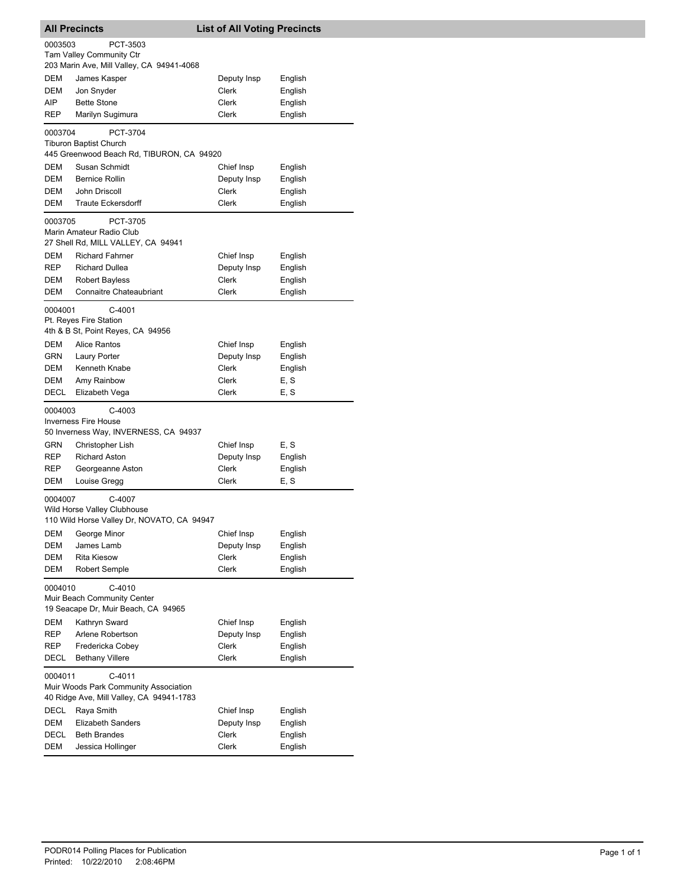| <b>All Precincts</b>                     |                                            | <b>List of All Voting Precincts</b> |         |  |
|------------------------------------------|--------------------------------------------|-------------------------------------|---------|--|
| 0003503                                  | PCT-3503                                   |                                     |         |  |
|                                          | <b>Tam Valley Community Ctr</b>            |                                     |         |  |
|                                          | 203 Marin Ave, Mill Valley, CA 94941-4068  |                                     |         |  |
| DEM                                      | James Kasper                               | Deputy Insp                         | English |  |
| <b>DEM</b>                               | Jon Snyder                                 | Clerk                               | English |  |
| AIP                                      | <b>Bette Stone</b>                         | Clerk                               | English |  |
| REP                                      | Marilyn Sugimura                           | Clerk                               | English |  |
| 0003704                                  | PCT-3704                                   |                                     |         |  |
|                                          | <b>Tiburon Baptist Church</b>              |                                     |         |  |
|                                          | 445 Greenwood Beach Rd, TIBURON, CA 94920  |                                     |         |  |
| DEM                                      | Susan Schmidt                              | Chief Insp                          | English |  |
| DEM                                      | <b>Bernice Rollin</b>                      | Deputy Insp                         | English |  |
| DEM                                      | John Driscoll                              | Clerk                               | English |  |
| DEM                                      | <b>Traute Eckersdorff</b>                  | Clerk                               | English |  |
| 0003705                                  | PCT-3705                                   |                                     |         |  |
|                                          | Marin Amateur Radio Club                   |                                     |         |  |
|                                          | 27 Shell Rd, MILL VALLEY, CA 94941         |                                     |         |  |
| DEM                                      | <b>Richard Fahrner</b>                     | Chief Insp                          | English |  |
| REP                                      | <b>Richard Dullea</b>                      | Deputy Insp                         | English |  |
| DEM                                      | <b>Robert Bayless</b>                      | Clerk                               | English |  |
| DEM                                      | <b>Connaitre Chateaubriant</b>             | Clerk                               | English |  |
| 0004001                                  | C-4001                                     |                                     |         |  |
|                                          | Pt. Reyes Fire Station                     |                                     |         |  |
|                                          | 4th & B St, Point Reyes, CA 94956          |                                     |         |  |
| <b>DEM</b>                               | <b>Alice Rantos</b>                        | Chief Insp                          | English |  |
| GRN                                      | Laury Porter                               | Deputy Insp                         | English |  |
| DEM                                      | Kenneth Knabe                              | Clerk                               | English |  |
| DEM                                      | Amy Rainbow                                | Clerk                               | E, S    |  |
| DECL                                     | Elizabeth Vega                             | Clerk                               | E, S    |  |
| 0004003                                  | $C-4003$                                   |                                     |         |  |
|                                          | Inverness Fire House                       |                                     |         |  |
|                                          | 50 Inverness Way, INVERNESS, CA 94937      |                                     |         |  |
| GRN                                      | Christopher Lish                           | Chief Insp                          | E, S    |  |
| REP                                      | <b>Richard Aston</b>                       | Deputy Insp                         | English |  |
| REP                                      | Georgeanne Aston                           | Clerk                               | English |  |
| <b>DEM</b>                               | Louise Gregg                               | Clerk                               | E, S    |  |
| 0004007                                  | C-4007                                     |                                     |         |  |
|                                          | Wild Horse Valley Clubhouse                |                                     |         |  |
|                                          | 110 Wild Horse Valley Dr, NOVATO, CA 94947 |                                     |         |  |
| DEM                                      | George Minor                               | Chief Insp                          | English |  |
| <b>DEM</b>                               | James Lamb                                 | Deputy Insp                         | English |  |
| DEM                                      | <b>Rita Kiesow</b>                         | Clerk                               | English |  |
| DEM                                      | <b>Robert Semple</b>                       | Clerk                               | English |  |
| 0004010                                  | $C-4010$                                   |                                     |         |  |
|                                          | Muir Beach Community Center                |                                     |         |  |
|                                          | 19 Seacape Dr, Muir Beach, CA 94965        |                                     |         |  |
| <b>DEM</b>                               | Kathryn Sward                              | Chief Insp                          | English |  |
| REP                                      | Arlene Robertson                           | Deputy Insp                         | English |  |
| REP                                      | Fredericka Cobey                           | Clerk                               | English |  |
| DECL                                     | <b>Bethany Villere</b>                     | Clerk                               | English |  |
| 0004011<br>C-4011                        |                                            |                                     |         |  |
| Muir Woods Park Community Association    |                                            |                                     |         |  |
| 40 Ridge Ave, Mill Valley, CA 94941-1783 |                                            |                                     |         |  |
| <b>DECL</b>                              | Raya Smith                                 | Chief Insp                          | English |  |
| DEM                                      | <b>Elizabeth Sanders</b>                   | Deputy Insp                         | English |  |
| DECL                                     | <b>Beth Brandes</b>                        | Clerk                               | English |  |
| DEM                                      | Jessica Hollinger                          | Clerk                               | English |  |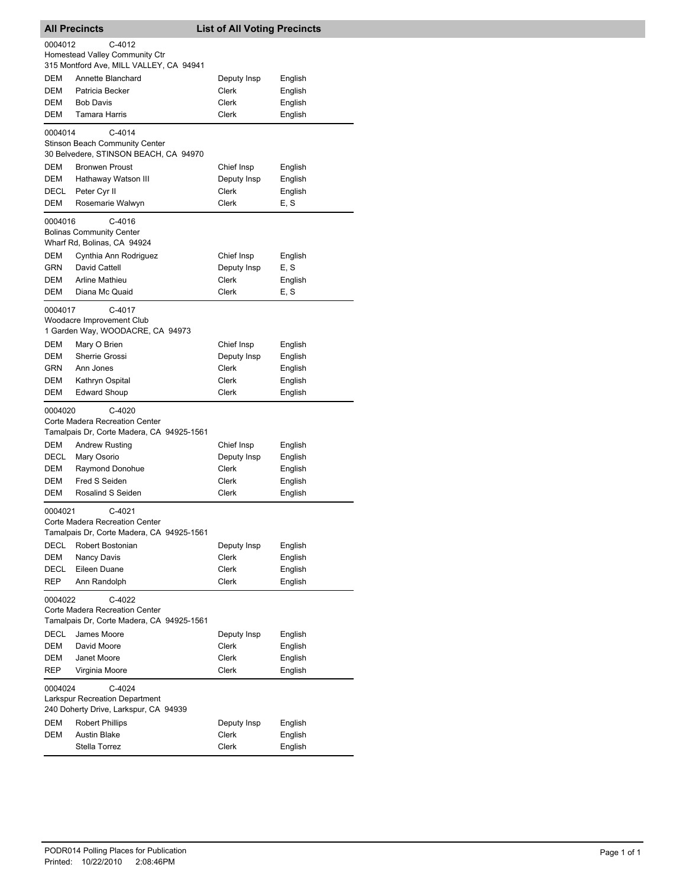|                                       | <b>All Precincts</b>                                          | <b>List of All Voting Precincts</b> |                    |  |
|---------------------------------------|---------------------------------------------------------------|-------------------------------------|--------------------|--|
| 0004012                               | C-4012                                                        |                                     |                    |  |
|                                       | Homestead Valley Community Ctr                                |                                     |                    |  |
|                                       | 315 Montford Ave, MILL VALLEY, CA 94941                       |                                     |                    |  |
| DEM                                   | Annette Blanchard                                             | Deputy Insp                         | English            |  |
| DEM                                   | Patricia Becker                                               | Clerk                               | English            |  |
| DEM                                   | <b>Bob Davis</b>                                              | Clerk                               | English            |  |
| DEM                                   | Tamara Harris                                                 | <b>Clerk</b>                        | English            |  |
| 0004014                               | $C-4014$                                                      |                                     |                    |  |
|                                       | <b>Stinson Beach Community Center</b>                         |                                     |                    |  |
|                                       | 30 Belvedere, STINSON BEACH, CA 94970                         |                                     |                    |  |
| DEM                                   | <b>Bronwen Proust</b>                                         | Chief Insp                          | English            |  |
| DEM                                   | Hathaway Watson III                                           | Deputy Insp                         | English            |  |
| DECL                                  | Peter Cyr II                                                  | Clerk                               | English            |  |
| DEM                                   | Rosemarie Walwyn                                              | Clerk                               | E, S               |  |
| 0004016                               | C-4016                                                        |                                     |                    |  |
|                                       | <b>Bolinas Community Center</b>                               |                                     |                    |  |
|                                       | Wharf Rd, Bolinas, CA 94924                                   |                                     |                    |  |
| DEM                                   | Cynthia Ann Rodriguez                                         | Chief Insp                          | English            |  |
| GRN<br>DEM                            | David Cattell<br><b>Arline Mathieu</b>                        | Deputy Insp<br><b>Clerk</b>         | E.S                |  |
| DEM                                   | Diana Mc Quaid                                                | Clerk                               | English<br>E, S    |  |
|                                       |                                                               |                                     |                    |  |
| 0004017                               | C-4017                                                        |                                     |                    |  |
|                                       | Woodacre Improvement Club<br>1 Garden Way, WOODACRE, CA 94973 |                                     |                    |  |
| <b>DEM</b>                            |                                                               |                                     |                    |  |
| DEM                                   | Mary O Brien<br>Sherrie Grossi                                | Chief Insp<br>Deputy Insp           | English<br>English |  |
| GRN                                   | Ann Jones                                                     | Clerk                               | English            |  |
| DEM                                   | Kathryn Ospital                                               | Clerk                               | English            |  |
| DEM                                   | <b>Edward Shoup</b>                                           | Clerk                               | English            |  |
|                                       |                                                               |                                     |                    |  |
| 0004020                               | $C-4020$<br>Corte Madera Recreation Center                    |                                     |                    |  |
|                                       | Tamalpais Dr, Corte Madera, CA 94925-1561                     |                                     |                    |  |
| DEM                                   | <b>Andrew Rusting</b>                                         | Chief Insp                          | English            |  |
| DECL                                  | Mary Osorio                                                   | Deputy Insp                         | English            |  |
| DEM                                   | Raymond Donohue                                               | Clerk                               | English            |  |
| DEM                                   | Fred S Seiden                                                 | Clerk                               | English            |  |
| DEM                                   | Rosalind S Seiden                                             | Clerk                               | English            |  |
| 0004021                               | C-4021                                                        |                                     |                    |  |
|                                       | Corte Madera Recreation Center                                |                                     |                    |  |
|                                       | Tamalpais Dr, Corte Madera, CA 94925-1561                     |                                     |                    |  |
| DECL                                  | Robert Bostonian                                              | Deputy Insp                         | English            |  |
| <b>DEM</b>                            | Nancy Davis                                                   | Clerk                               | English            |  |
| DECL                                  | Eileen Duane                                                  | Clerk                               | English            |  |
| REP                                   | Ann Randolph                                                  | Clerk                               | English            |  |
| 0004022                               | C-4022                                                        |                                     |                    |  |
| Corte Madera Recreation Center        |                                                               |                                     |                    |  |
|                                       | Tamalpais Dr, Corte Madera, CA 94925-1561                     |                                     |                    |  |
| DECL                                  | James Moore                                                   | Deputy Insp                         | English            |  |
| DEM                                   | David Moore                                                   | Clerk                               | English            |  |
| DEM                                   | Janet Moore                                                   | Clerk                               | English            |  |
| REP                                   | Virginia Moore                                                | Clerk                               | English            |  |
| 0004024                               | C-4024                                                        |                                     |                    |  |
|                                       | <b>Larkspur Recreation Department</b>                         |                                     |                    |  |
| 240 Doherty Drive, Larkspur, CA 94939 |                                                               |                                     |                    |  |
| DEM                                   | <b>Robert Phillips</b>                                        | Deputy Insp                         | English            |  |
| DEM                                   | <b>Austin Blake</b>                                           | Clerk                               | English            |  |
|                                       | Stella Torrez                                                 | Clerk                               | English            |  |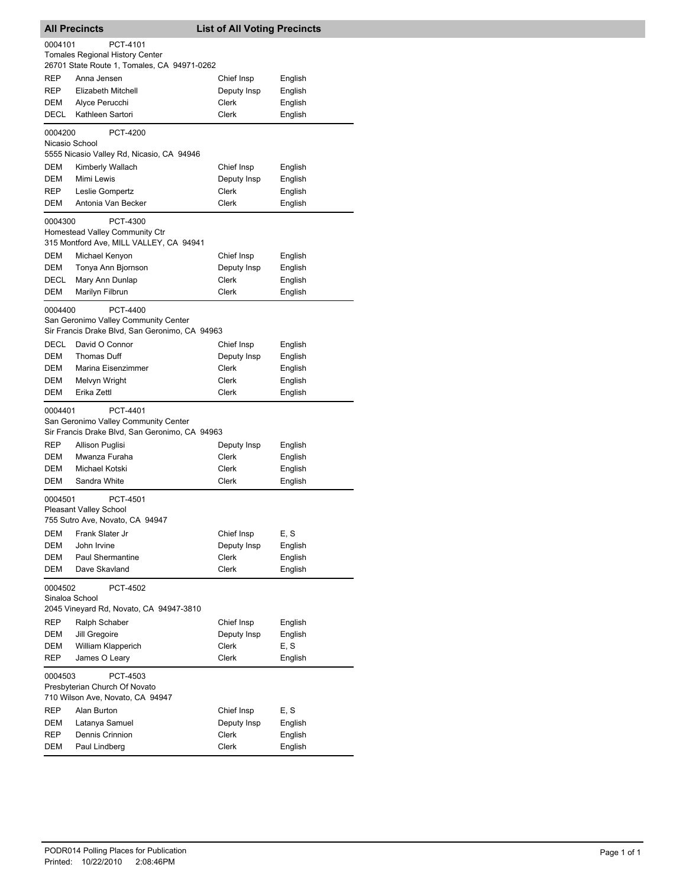| <b>All Precincts</b><br><b>List of All Voting Precincts</b>                                                  |                                                                                                    |                      |         |  |
|--------------------------------------------------------------------------------------------------------------|----------------------------------------------------------------------------------------------------|----------------------|---------|--|
| PCT-4101<br>0004101<br><b>Tomales Regional History Center</b><br>26701 State Route 1, Tomales, CA 94971-0262 |                                                                                                    |                      |         |  |
| <b>REP</b>                                                                                                   | Anna Jensen                                                                                        | Chief Insp           | English |  |
| REP                                                                                                          | Elizabeth Mitchell                                                                                 | Deputy Insp          | English |  |
| DEM                                                                                                          | Alyce Perucchi                                                                                     | Clerk                | English |  |
| <b>DECL</b>                                                                                                  | Kathleen Sartori                                                                                   | <b>Clerk</b>         | English |  |
| 0004200                                                                                                      | PCT-4200                                                                                           |                      |         |  |
|                                                                                                              | Nicasio School                                                                                     |                      |         |  |
|                                                                                                              | 5555 Nicasio Valley Rd, Nicasio, CA 94946                                                          |                      |         |  |
| DEM                                                                                                          | Kimberly Wallach                                                                                   | Chief Insp           | English |  |
| DEM                                                                                                          | Mimi Lewis                                                                                         | Deputy Insp          | English |  |
| REP                                                                                                          | Leslie Gompertz                                                                                    | Clerk                | English |  |
| DEM                                                                                                          | Antonia Van Becker                                                                                 | <b>Clerk</b>         | English |  |
| 0004300                                                                                                      | PCT-4300                                                                                           |                      |         |  |
|                                                                                                              | Homestead Valley Community Ctr                                                                     |                      |         |  |
| DEM                                                                                                          | 315 Montford Ave, MILL VALLEY, CA 94941<br>Michael Kenyon                                          | Chief Insp           |         |  |
| DEM                                                                                                          | Tonya Ann Bjornson                                                                                 |                      | English |  |
| <b>DECL</b>                                                                                                  |                                                                                                    | Deputy Insp<br>Clerk | English |  |
|                                                                                                              | Mary Ann Dunlap                                                                                    |                      | English |  |
| DEM                                                                                                          | Marilyn Filbrun                                                                                    | Clerk                | English |  |
| 0004400                                                                                                      | PCT-4400                                                                                           |                      |         |  |
|                                                                                                              | San Geronimo Valley Community Center<br>Sir Francis Drake Blvd, San Geronimo, CA 94963             |                      |         |  |
| <b>DECL</b>                                                                                                  | David O Connor                                                                                     | Chief Insp           |         |  |
| DEM                                                                                                          | Thomas Duff                                                                                        |                      | English |  |
| DEM                                                                                                          | Marina Eisenzimmer                                                                                 | Deputy Insp<br>Clerk | English |  |
|                                                                                                              |                                                                                                    |                      | English |  |
| DEM<br>DEM                                                                                                   | Melvyn Wright<br>Erika Zettl                                                                       | Clerk<br>Clerk       | English |  |
|                                                                                                              |                                                                                                    |                      | English |  |
| 0004401                                                                                                      | PCT-4401<br>San Geronimo Valley Community Center<br>Sir Francis Drake Blvd, San Geronimo, CA 94963 |                      |         |  |
| <b>REP</b>                                                                                                   | Allison Puglisi                                                                                    | Deputy Insp          | English |  |
| DEM                                                                                                          | Mwanza Furaha                                                                                      | Clerk                | English |  |
| <b>DEM</b>                                                                                                   | Michael Kotski                                                                                     | Clerk                | English |  |
| DEM                                                                                                          | Sandra White                                                                                       | Clerk                | English |  |
|                                                                                                              |                                                                                                    |                      |         |  |
| 0004501                                                                                                      | PCT-4501<br><b>Pleasant Valley School</b><br>755 Sutro Ave, Novato, CA 94947                       |                      |         |  |
| DEM                                                                                                          | Frank Slater Jr                                                                                    | Chief Insp           | E, S    |  |
| DEM                                                                                                          | John Irvine                                                                                        | Deputy Insp          | English |  |
| DEM                                                                                                          | <b>Paul Shermantine</b>                                                                            | Clerk                | English |  |
| DEM                                                                                                          | Dave Skavland                                                                                      | Clerk                | English |  |
| 0004502<br>PCT-4502<br>Sinaloa School                                                                        |                                                                                                    |                      |         |  |
|                                                                                                              | 2045 Vineyard Rd, Novato, CA 94947-3810                                                            |                      |         |  |
| REP                                                                                                          | Ralph Schaber                                                                                      | Chief Insp           | English |  |
| DEM                                                                                                          | Jill Gregoire                                                                                      | Deputy Insp          | English |  |
| DEM                                                                                                          | William Klapperich                                                                                 | Clerk                | E, S    |  |
| REP                                                                                                          | James O Leary                                                                                      | Clerk                | English |  |
|                                                                                                              | PCT-4503                                                                                           |                      |         |  |
| 0004503<br>Presbyterian Church Of Novato                                                                     |                                                                                                    |                      |         |  |
| 710 Wilson Ave, Novato, CA 94947                                                                             |                                                                                                    |                      |         |  |
| REP                                                                                                          | Alan Burton                                                                                        | Chief Insp           | E, S    |  |
| DEM                                                                                                          | Latanya Samuel                                                                                     | Deputy Insp          | English |  |
| REP                                                                                                          | Dennis Crinnion                                                                                    | Clerk                | English |  |
| DEM                                                                                                          | Paul Lindberg                                                                                      | Clerk                | English |  |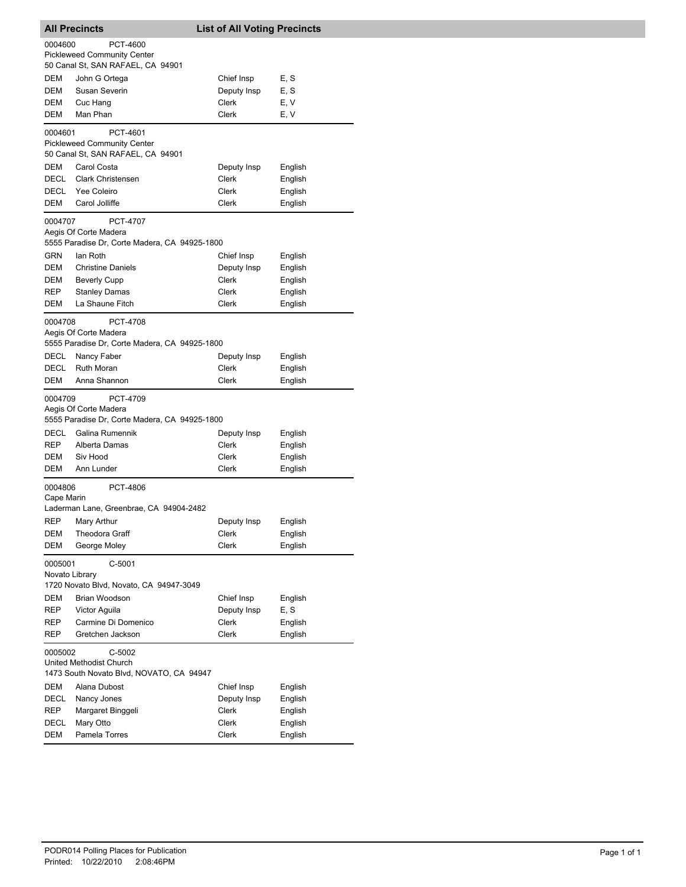| <b>All Precincts</b>                                                             |                                                                                                                        |  | <b>List of All Voting Precincts</b> |                    |  |
|----------------------------------------------------------------------------------|------------------------------------------------------------------------------------------------------------------------|--|-------------------------------------|--------------------|--|
| 0004600                                                                          | PCT-4600<br><b>Pickleweed Community Center</b><br>50 Canal St, SAN RAFAEL, CA 94901                                    |  |                                     |                    |  |
| DEM                                                                              | John G Ortega                                                                                                          |  | Chief Insp                          | E, S               |  |
| DEM                                                                              | Susan Severin                                                                                                          |  | Deputy Insp                         | E, S               |  |
| DEM                                                                              | Cuc Hang                                                                                                               |  | Clerk                               | E, V               |  |
| DEM                                                                              | Man Phan                                                                                                               |  | <b>Clerk</b>                        | E, V               |  |
| 0004601                                                                          | PCT-4601<br><b>Pickleweed Community Center</b><br>50 Canal St, SAN RAFAEL, CA 94901                                    |  |                                     |                    |  |
| DEM                                                                              | Carol Costa                                                                                                            |  | Deputy Insp                         | English            |  |
| DECL                                                                             | <b>Clark Christensen</b>                                                                                               |  | Clerk                               | English            |  |
| DECL                                                                             | Yee Coleiro                                                                                                            |  | Clerk                               | English            |  |
| DEM                                                                              | Carol Jolliffe                                                                                                         |  | Clerk                               | English            |  |
| 0004707                                                                          | PCT-4707<br>Aegis Of Corte Madera<br>5555 Paradise Dr, Corte Madera, CA 94925-1800                                     |  |                                     |                    |  |
| GRN                                                                              | lan Roth                                                                                                               |  | Chief Insp                          | English            |  |
| DEM                                                                              | <b>Christine Daniels</b>                                                                                               |  | Deputy Insp                         | English            |  |
| DEM                                                                              | <b>Beverly Cupp</b>                                                                                                    |  | Clerk                               | English            |  |
| REP                                                                              | <b>Stanley Damas</b>                                                                                                   |  | Clerk                               | English            |  |
| DEM                                                                              | La Shaune Fitch                                                                                                        |  | Clerk                               | English            |  |
| 0004708<br>DECL<br>DECL                                                          | PCT-4708<br>Aegis Of Corte Madera<br>5555 Paradise Dr, Corte Madera, CA 94925-1800<br>Nancy Faber<br><b>Ruth Moran</b> |  | Deputy Insp<br>Clerk                | English<br>English |  |
| DEM                                                                              | Anna Shannon                                                                                                           |  | Clerk                               | English            |  |
| 0004709                                                                          | PCT-4709<br>Aegis Of Corte Madera<br>5555 Paradise Dr, Corte Madera, CA 94925-1800                                     |  |                                     |                    |  |
| DECL                                                                             | Galina Rumennik                                                                                                        |  | Deputy Insp                         | English            |  |
| REP                                                                              | Alberta Damas                                                                                                          |  | Clerk                               | English            |  |
| DEM                                                                              | Siv Hood                                                                                                               |  | Clerk                               | English            |  |
| <b>DEM</b>                                                                       | Ann Lunder                                                                                                             |  | Clerk                               | English            |  |
|                                                                                  | 0004806<br>PCT-4806<br>Cape Marin                                                                                      |  |                                     |                    |  |
| <b>REP</b>                                                                       | Laderman Lane, Greenbrae, CA 94904-2482<br>Mary Arthur                                                                 |  |                                     |                    |  |
| DEM                                                                              | Theodora Graff                                                                                                         |  | Deputy Insp<br>Clerk                | English<br>English |  |
| DEM                                                                              | George Moley                                                                                                           |  | Clerk                               | English            |  |
| 0005001<br>$C-5001$<br>Novato Library<br>1720 Novato Blvd, Novato, CA 94947-3049 |                                                                                                                        |  |                                     |                    |  |
| DEM                                                                              | Brian Woodson                                                                                                          |  | Chief Insp                          | English            |  |
| REP                                                                              | Victor Aguila                                                                                                          |  | Deputy Insp                         | E, S               |  |
| REP                                                                              | Carmine Di Domenico                                                                                                    |  | Clerk                               | English            |  |
| REP                                                                              | Gretchen Jackson                                                                                                       |  | Clerk                               | English            |  |
| 0005002                                                                          | C-5002<br>United Methodist Church<br>1473 South Novato Blvd, NOVATO, CA 94947                                          |  |                                     |                    |  |
| DEM                                                                              | Alana Dubost                                                                                                           |  | Chief Insp                          | English            |  |
| DECL                                                                             | Nancy Jones                                                                                                            |  | Deputy Insp                         | English            |  |
| REP                                                                              | Margaret Binggeli                                                                                                      |  | Clerk                               | English            |  |
| DECL                                                                             | Mary Otto                                                                                                              |  | Clerk                               | English            |  |
| DEM                                                                              | Pamela Torres                                                                                                          |  | Clerk                               | English            |  |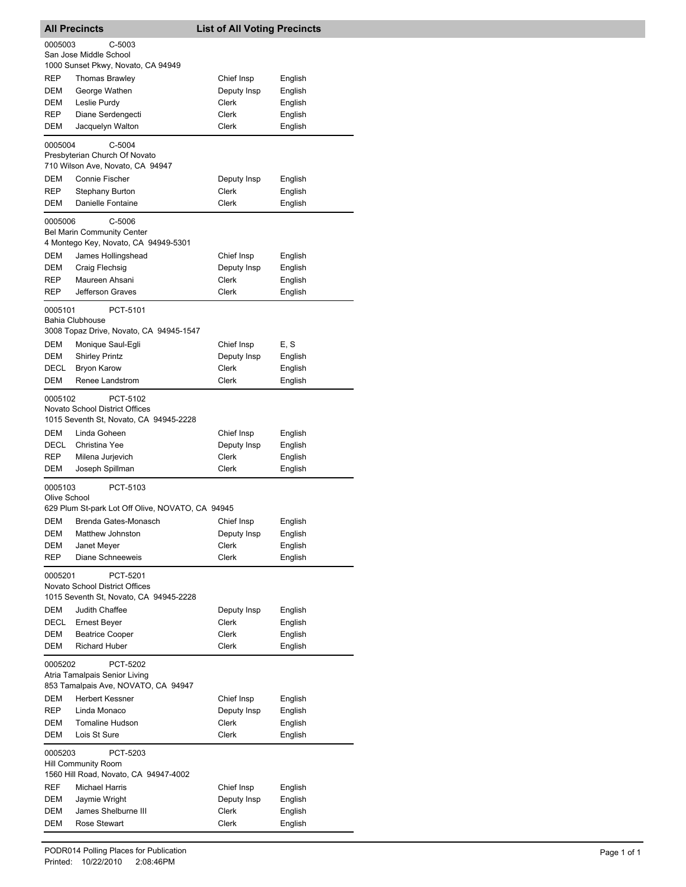| <b>All Precincts</b>                                                                            |                                                                                       | <b>List of All Voting Precincts</b> |                    |  |
|-------------------------------------------------------------------------------------------------|---------------------------------------------------------------------------------------|-------------------------------------|--------------------|--|
| 0005003                                                                                         | $C-5003$                                                                              |                                     |                    |  |
|                                                                                                 | San Jose Middle School<br>1000 Sunset Pkwy, Novato, CA 94949                          |                                     |                    |  |
| REP                                                                                             | <b>Thomas Brawley</b>                                                                 | Chief Insp                          | English            |  |
| DEM                                                                                             | George Wathen                                                                         | Deputy Insp                         | English            |  |
| DEM                                                                                             | Leslie Purdy                                                                          | <b>Clerk</b>                        | English            |  |
| REP                                                                                             | Diane Serdengecti                                                                     | Clerk                               | English            |  |
| DEM                                                                                             | Jacquelyn Walton                                                                      | Clerk                               | English            |  |
| 0005004                                                                                         | $C-5004$                                                                              |                                     |                    |  |
|                                                                                                 | Presbyterian Church Of Novato<br>710 Wilson Ave, Novato, CA 94947                     |                                     |                    |  |
| DEM                                                                                             | <b>Connie Fischer</b>                                                                 | Deputy Insp                         | English            |  |
| REP                                                                                             | Stephany Burton                                                                       | Clerk                               | English            |  |
| DEM                                                                                             | Danielle Fontaine                                                                     | Clerk                               | English            |  |
| 0005006                                                                                         | $C-5006$<br><b>Bel Marin Community Center</b><br>4 Montego Key, Novato, CA 94949-5301 |                                     |                    |  |
| DEM                                                                                             | James Hollingshead                                                                    | Chief Insp                          | English            |  |
| DEM                                                                                             | Craig Flechsig                                                                        | Deputy Insp                         | English            |  |
| <b>REP</b>                                                                                      | Maureen Ahsani                                                                        | <b>Clerk</b>                        | English            |  |
| REP                                                                                             | Jefferson Graves                                                                      | <b>Clerk</b>                        | English            |  |
| 0005101                                                                                         | PCT-5101<br><b>Bahia Clubhouse</b>                                                    |                                     |                    |  |
|                                                                                                 | 3008 Topaz Drive, Novato, CA 94945-1547                                               |                                     |                    |  |
| <b>DEM</b>                                                                                      | Monique Saul-Egli                                                                     | Chief Insp                          | E, S               |  |
| DEM                                                                                             | Shirley Printz                                                                        | Deputy Insp                         | English            |  |
| DECL<br>DEM                                                                                     | <b>Bryon Karow</b><br>Renee Landstrom                                                 | Clerk<br>Clerk                      | English<br>English |  |
|                                                                                                 |                                                                                       |                                     |                    |  |
| 0005102                                                                                         | PCT-5102<br>Novato School District Offices<br>1015 Seventh St, Novato, CA 94945-2228  |                                     |                    |  |
| DEM                                                                                             | Linda Goheen                                                                          | Chief Insp                          | English            |  |
| DECL                                                                                            | Christina Yee                                                                         | Deputy Insp                         | English            |  |
| REP                                                                                             | Milena Jurjevich                                                                      | Clerk                               | English            |  |
| DEM                                                                                             | Joseph Spillman                                                                       | Clerk                               | English            |  |
| 0005103<br>Olive School                                                                         | PCT-5103<br>629 Plum St-park Lot Off Olive, NOVATO, CA 94945                          |                                     |                    |  |
| DEM                                                                                             | Brenda Gates-Monasch                                                                  | Chief Insp                          | English            |  |
| DEM                                                                                             | Matthew Johnston                                                                      | Deputy Insp                         | English            |  |
| DEM                                                                                             | Janet Meyer                                                                           | <b>Clerk</b>                        | English            |  |
| <b>REP</b>                                                                                      | Diane Schneeweis                                                                      | Clerk                               | English            |  |
| PCT-5201<br>0005201<br>Novato School District Offices<br>1015 Seventh St, Novato, CA 94945-2228 |                                                                                       |                                     |                    |  |
| DEM                                                                                             | Judith Chaffee                                                                        | Deputy Insp                         | English            |  |
| DECL                                                                                            | Ernest Beyer                                                                          | Clerk                               | English            |  |
| DEM                                                                                             | <b>Beatrice Cooper</b>                                                                | Clerk                               | English            |  |
| DEM                                                                                             | <b>Richard Huber</b>                                                                  | Clerk                               | English            |  |
| 0005202<br>PCT-5202<br>Atria Tamalpais Senior Living<br>853 Tamalpais Ave, NOVATO, CA 94947     |                                                                                       |                                     |                    |  |
| DEM                                                                                             | <b>Herbert Kessner</b>                                                                | Chief Insp                          | English            |  |
| REP                                                                                             | Linda Monaco                                                                          | Deputy Insp                         | English            |  |
| DEM<br>DEM                                                                                      | <b>Tomaline Hudson</b><br>Lois St Sure                                                | Clerk<br>Clerk                      | English<br>English |  |
| 0005203                                                                                         | PCT-5203                                                                              |                                     |                    |  |
| <b>Hill Community Room</b><br>1560 Hill Road, Novato, CA 94947-4002                             |                                                                                       |                                     |                    |  |
| REF                                                                                             | Michael Harris                                                                        | Chief Insp                          | English            |  |
| DEM                                                                                             | Jaymie Wright                                                                         | Deputy Insp                         | English            |  |
| DEM                                                                                             | James Shelburne III                                                                   | Clerk                               | English            |  |
| DEM                                                                                             | Rose Stewart                                                                          | Clerk                               | English            |  |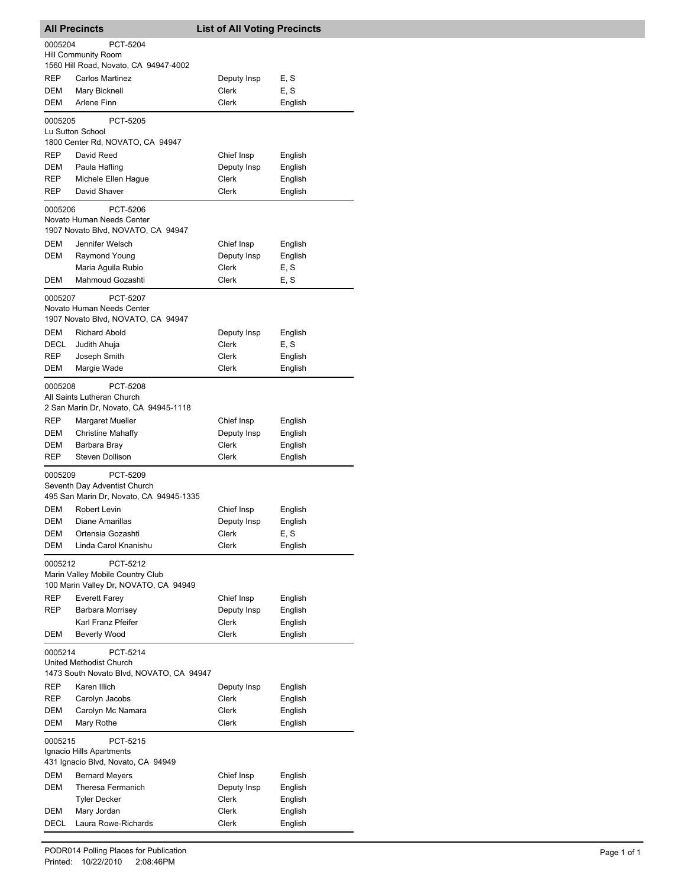| <b>All Precincts</b>     |                                                                         | <b>List of All Voting Precincts</b> |                    |
|--------------------------|-------------------------------------------------------------------------|-------------------------------------|--------------------|
| 0005204                  | PCT-5204                                                                |                                     |                    |
|                          | <b>Hill Community Room</b>                                              |                                     |                    |
|                          | 1560 Hill Road, Novato, CA 94947-4002                                   |                                     |                    |
| REP                      | <b>Carlos Martinez</b>                                                  | Deputy Insp                         | E, S               |
| DEM                      | Mary Bicknell                                                           | Clerk                               | E, S               |
| DEM                      | Arlene Finn                                                             | Clerk                               | English            |
| 0005205                  | PCT-5205                                                                |                                     |                    |
|                          | Lu Sutton School<br>1800 Center Rd, NOVATO, CA 94947                    |                                     |                    |
|                          |                                                                         |                                     |                    |
| REP<br>DEM               | David Reed                                                              | Chief Insp<br>Deputy Insp           | English            |
| REP                      | Paula Hafling<br>Michele Ellen Hague                                    | Clerk                               | English<br>English |
| REP                      | David Shaver                                                            | Clerk                               | English            |
|                          | PCT-5206                                                                |                                     |                    |
| 0005206                  | Novato Human Needs Center                                               |                                     |                    |
|                          | 1907 Novato Blvd, NOVATO, CA 94947                                      |                                     |                    |
| DEM                      | Jennifer Welsch                                                         | Chief Insp                          | English            |
| DEM                      | Raymond Young                                                           | Deputy Insp                         | English            |
|                          | Maria Aquila Rubio                                                      | Clerk                               | E, S               |
| DEM                      | Mahmoud Gozashti                                                        | Clerk                               | E, S               |
| 0005207                  | PCT-5207                                                                |                                     |                    |
|                          | Novato Human Needs Center                                               |                                     |                    |
|                          | 1907 Novato Blvd, NOVATO, CA 94947                                      |                                     |                    |
| <b>DEM</b>               | <b>Richard Abold</b>                                                    | Deputy Insp                         | English            |
| <b>DECL</b>              | Judith Ahuja                                                            | Clerk                               | E, S               |
| REP                      | Joseph Smith                                                            | Clerk                               | English            |
| DEM                      | Margie Wade                                                             | Clerk                               | English            |
| 0005208                  | PCT-5208                                                                |                                     |                    |
|                          | All Saints Lutheran Church                                              |                                     |                    |
|                          | 2 San Marin Dr, Novato, CA 94945-1118                                   |                                     |                    |
| REP                      | Margaret Mueller                                                        | Chief Insp                          | English            |
| DEM                      | <b>Christine Mahaffy</b>                                                | Deputy Insp                         | English            |
| DEM                      | Barbara Bray                                                            | Clerk                               | English            |
| <b>REP</b>               | <b>Steven Dollison</b>                                                  | Clerk                               | English            |
| 0005209                  | PCT-5209                                                                |                                     |                    |
|                          | Seventh Day Adventist Church<br>495 San Marin Dr, Novato, CA 94945-1335 |                                     |                    |
| DEM                      | <b>Robert Levin</b>                                                     | Chief Insp                          | English            |
| DEM                      | Diane Amarillas                                                         | Deputy Insp                         | English            |
| DEM                      | Ortensia Gozashti                                                       | Clerk                               | E, S               |
| DEM                      | Linda Carol Knanishu                                                    | Clerk                               | English            |
|                          | PCT-5212                                                                |                                     |                    |
| 0005212                  | Marin Valley Mobile Country Club                                        |                                     |                    |
|                          | 100 Marin Valley Dr, NOVATO, CA 94949                                   |                                     |                    |
| REP                      | <b>Everett Farey</b>                                                    | Chief Insp                          | English            |
| REP                      | Barbara Morrisey                                                        | Deputy Insp                         | English            |
|                          | Karl Franz Pfeifer                                                      | Clerk                               | English            |
| DEM                      | <b>Beverly Wood</b>                                                     | Clerk                               | English            |
| 0005214                  | PCT-5214                                                                |                                     |                    |
|                          | United Methodist Church                                                 |                                     |                    |
|                          | 1473 South Novato Blvd, NOVATO, CA 94947                                |                                     |                    |
| REP                      | Karen Illich                                                            | Deputy Insp                         | English            |
| REP                      | Carolyn Jacobs                                                          | Clerk                               | English            |
| DEM                      | Carolyn Mc Namara                                                       | Clerk                               | English            |
| DEM                      | Mary Rothe                                                              | Clerk                               | English            |
| 0005215                  | PCT-5215                                                                |                                     |                    |
| Ignacio Hills Apartments |                                                                         |                                     |                    |
|                          | 431 Ignacio Blvd, Novato, CA 94949                                      |                                     |                    |
| DEM                      | <b>Bernard Meyers</b>                                                   | Chief Insp                          | English            |
| DEM                      | Theresa Fermanich                                                       | Deputy Insp                         | English            |
|                          | <b>Tyler Decker</b>                                                     | Clerk                               | English            |
| DEM                      | Mary Jordan                                                             | Clerk                               | English            |
| DECL                     | Laura Rowe-Richards                                                     | Clerk                               | English            |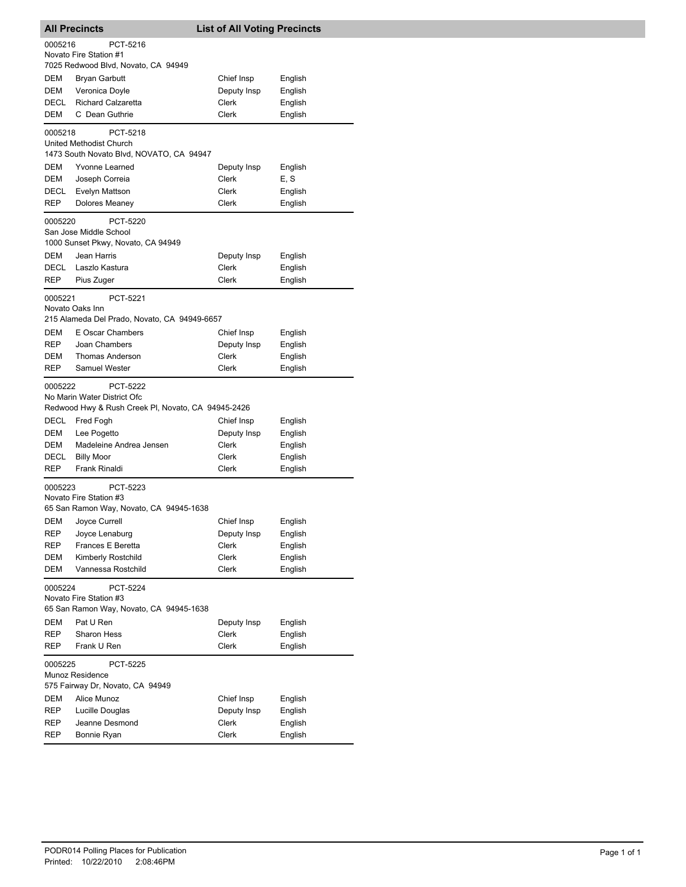| <b>All Precincts</b>                                                                     |                                                                                               | <b>List of All Voting Precincts</b> |         |  |  |
|------------------------------------------------------------------------------------------|-----------------------------------------------------------------------------------------------|-------------------------------------|---------|--|--|
| 0005216                                                                                  | PCT-5216<br>Novato Fire Station #1<br>7025 Redwood Blvd, Novato, CA 94949                     |                                     |         |  |  |
| DEM                                                                                      | Bryan Garbutt                                                                                 | Chief Insp                          | English |  |  |
| DEM                                                                                      | Veronica Doyle                                                                                | Deputy Insp                         | English |  |  |
| DECL                                                                                     | <b>Richard Calzaretta</b>                                                                     | Clerk                               | English |  |  |
| DEM                                                                                      | C Dean Guthrie                                                                                | <b>Clerk</b>                        | English |  |  |
| 0005218                                                                                  | PCT-5218<br>United Methodist Church<br>1473 South Novato Blvd, NOVATO, CA 94947               |                                     |         |  |  |
| DEM                                                                                      | Yvonne Learned                                                                                | Deputy Insp                         | English |  |  |
| DEM                                                                                      | Joseph Correia                                                                                | Clerk                               | E, S    |  |  |
| DECL                                                                                     | Evelyn Mattson                                                                                | Clerk                               | English |  |  |
| REP                                                                                      | <b>Dolores Meaney</b>                                                                         | Clerk                               | English |  |  |
| 0005220                                                                                  | PCT-5220<br>San Jose Middle School                                                            |                                     |         |  |  |
|                                                                                          | 1000 Sunset Pkwy, Novato, CA 94949                                                            |                                     |         |  |  |
| <b>DEM</b>                                                                               | Jean Harris                                                                                   | Deputy Insp                         | English |  |  |
| DECL                                                                                     | Laszlo Kastura                                                                                | Clerk                               | English |  |  |
| REP                                                                                      | Pius Zuger                                                                                    | Clerk                               | English |  |  |
| 0005221                                                                                  | PCT-5221<br>Novato Oaks Inn                                                                   |                                     |         |  |  |
| DEM                                                                                      | 215 Alameda Del Prado, Novato, CA 94949-6657<br>E Oscar Chambers                              | Chief Insp                          | English |  |  |
| REP                                                                                      | Joan Chambers                                                                                 | Deputy Insp                         | English |  |  |
| DEM                                                                                      | <b>Thomas Anderson</b>                                                                        | Clerk                               | English |  |  |
| REP                                                                                      | <b>Samuel Wester</b>                                                                          | Clerk                               | English |  |  |
| 0005222                                                                                  | PCT-5222<br>No Marin Water District Ofc<br>Redwood Hwy & Rush Creek PI, Novato, CA 94945-2426 |                                     |         |  |  |
| DECL                                                                                     | Fred Fogh                                                                                     | Chief Insp                          | English |  |  |
| DEM                                                                                      | Lee Pogetto                                                                                   | Deputy Insp                         | English |  |  |
| DEM                                                                                      | Madeleine Andrea Jensen                                                                       | Clerk                               | English |  |  |
| DECL                                                                                     | <b>Billy Moor</b>                                                                             | Clerk                               | English |  |  |
| REP                                                                                      | Frank Rinaldi                                                                                 | Clerk                               | English |  |  |
|                                                                                          | PCT-5223<br>0005223<br>Novato Fire Station #3<br>65 San Ramon Way, Novato, CA 94945-1638      |                                     |         |  |  |
| DEM                                                                                      | Joyce Currell                                                                                 | Chief Insp                          | English |  |  |
| REP                                                                                      | Joyce Lenaburg                                                                                | Deputy Insp                         | English |  |  |
| REP                                                                                      | Frances E Beretta                                                                             | Clerk                               | English |  |  |
| DEM                                                                                      | Kimberly Rostchild                                                                            | Clerk                               | English |  |  |
| <b>DEM</b>                                                                               | Vannessa Rostchild                                                                            | Clerk                               | English |  |  |
| 0005224<br>PCT-5224<br>Novato Fire Station #3<br>65 San Ramon Way, Novato, CA 94945-1638 |                                                                                               |                                     |         |  |  |
| <b>DEM</b>                                                                               | Pat U Ren                                                                                     | Deputy Insp                         | English |  |  |
| REP                                                                                      | <b>Sharon Hess</b>                                                                            | Clerk                               | English |  |  |
| REP                                                                                      | Frank U Ren                                                                                   | Clerk                               | English |  |  |
|                                                                                          | 0005225<br>PCT-5225<br>Munoz Residence<br>575 Fairway Dr, Novato, CA 94949                    |                                     |         |  |  |
| DEM                                                                                      | Alice Munoz                                                                                   | Chief Insp                          | English |  |  |
| REP                                                                                      | Lucille Douglas                                                                               | Deputy Insp                         | English |  |  |
| REP                                                                                      | Jeanne Desmond                                                                                | Clerk                               | English |  |  |
| REP                                                                                      | Bonnie Ryan                                                                                   | Clerk                               | English |  |  |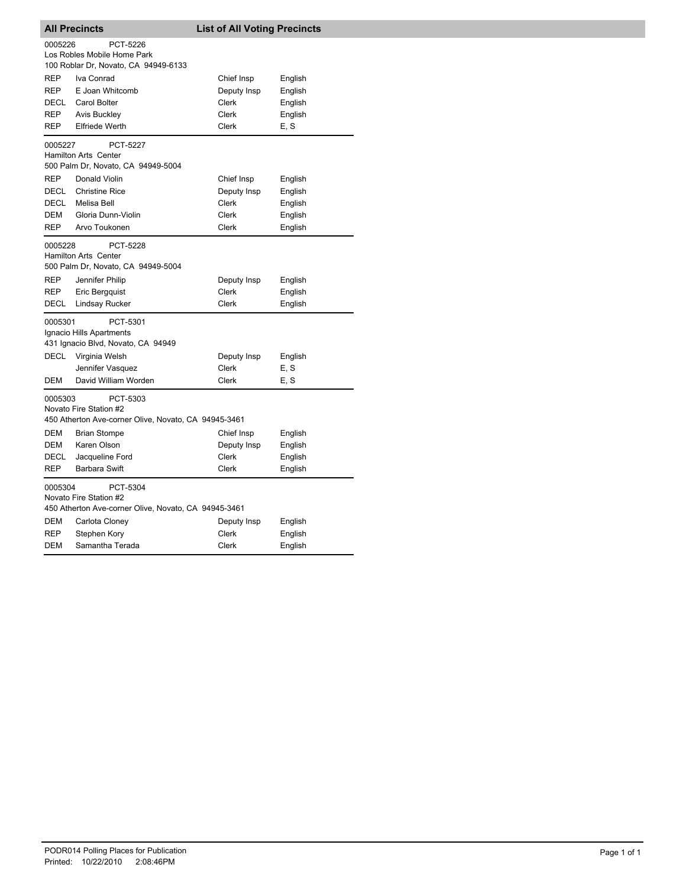| <b>All Precincts</b>                                                                                  |                                                                                                                                                                             | <b>List of All Voting Precincts</b>         |                                          |  |
|-------------------------------------------------------------------------------------------------------|-----------------------------------------------------------------------------------------------------------------------------------------------------------------------------|---------------------------------------------|------------------------------------------|--|
| 0005226                                                                                               | PCT-5226<br>Los Robles Mobile Home Park<br>100 Roblar Dr, Novato, CA 94949-6133                                                                                             |                                             |                                          |  |
| REP                                                                                                   | Iva Conrad                                                                                                                                                                  | Chief Insp                                  | English                                  |  |
| <b>REP</b>                                                                                            | E Joan Whitcomb                                                                                                                                                             | Deputy Insp                                 | English                                  |  |
| DECL                                                                                                  | Carol Bolter                                                                                                                                                                | Clerk                                       | English                                  |  |
| <b>REP</b>                                                                                            | <b>Avis Buckley</b>                                                                                                                                                         | <b>Clerk</b>                                | English                                  |  |
| REP                                                                                                   | <b>Elfriede Werth</b>                                                                                                                                                       | Clerk                                       | E, S                                     |  |
| 0005227                                                                                               | PCT-5227<br>Hamilton Arts Center<br>500 Palm Dr, Novato, CA 94949-5004                                                                                                      |                                             |                                          |  |
| <b>REP</b>                                                                                            | Donald Violin                                                                                                                                                               | Chief Insp                                  | English                                  |  |
| <b>DECL</b>                                                                                           | <b>Christine Rice</b>                                                                                                                                                       | Deputy Insp                                 | English                                  |  |
| DECL                                                                                                  | Melisa Bell                                                                                                                                                                 | Clerk                                       | English                                  |  |
| <b>DEM</b>                                                                                            | Gloria Dunn-Violin                                                                                                                                                          | <b>Clerk</b>                                | English                                  |  |
| <b>REP</b>                                                                                            | Arvo Toukonen                                                                                                                                                               | Clerk                                       | English                                  |  |
| 0005228<br>REP<br><b>REP</b><br><b>DECL</b>                                                           | <b>PCT-5228</b><br><b>Hamilton Arts Center</b><br>500 Palm Dr, Novato, CA 94949-5004<br>Jennifer Philip<br>Eric Bergquist<br><b>Lindsay Rucker</b>                          | Deputy Insp<br><b>Clerk</b><br>Clerk        | English<br>English<br>English            |  |
| 0005301<br>PCT-5301<br>Ignacio Hills Apartments<br>431 Ignacio Blvd, Novato, CA 94949                 |                                                                                                                                                                             |                                             |                                          |  |
| <b>DECL</b>                                                                                           | Virginia Welsh                                                                                                                                                              | Deputy Insp                                 | English                                  |  |
|                                                                                                       | Jennifer Vasquez                                                                                                                                                            | Clerk                                       | E, S                                     |  |
| DEM                                                                                                   | David William Worden                                                                                                                                                        | Clerk                                       | E, S                                     |  |
| 0005303<br>DEM<br><b>DEM</b><br>DECL<br><b>REP</b>                                                    | PCT-5303<br>Novato Fire Station #2<br>450 Atherton Ave-corner Olive, Novato, CA 94945-3461<br><b>Brian Stompe</b><br>Karen Olson<br>Jacqueline Ford<br><b>Barbara Swift</b> | Chief Insp<br>Deputy Insp<br>Clerk<br>Clerk | English<br>English<br>English<br>English |  |
| 0005304<br>PCT-5304<br>Novato Fire Station #2<br>450 Atherton Ave-corner Olive, Novato, CA 94945-3461 |                                                                                                                                                                             |                                             |                                          |  |
| DEM                                                                                                   | Carlota Cloney                                                                                                                                                              | Deputy Insp                                 | English                                  |  |
| REP                                                                                                   | Stephen Kory                                                                                                                                                                | Clerk                                       | English                                  |  |
| <b>DEM</b>                                                                                            | Samantha Terada                                                                                                                                                             | Clerk                                       | English                                  |  |